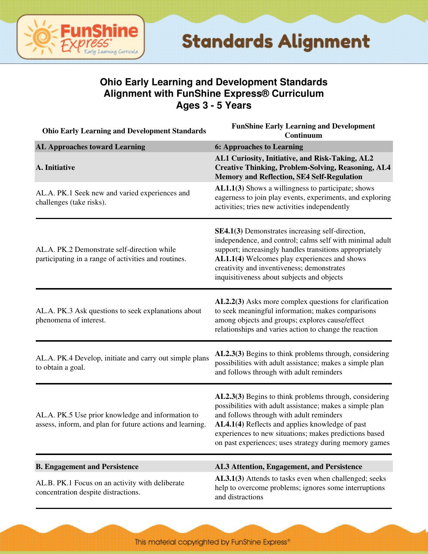

#### **Ohio Early Learning and Development Standards Alignment with FunShine Express® Curriculum Ages 3 - 5 Years**

| <b>Ohio Early Learning and Development Standards</b>                                                           | <b>FunShine Early Learning and Development</b><br>Continuum                                                                                                                                                                                                                                                                           |
|----------------------------------------------------------------------------------------------------------------|---------------------------------------------------------------------------------------------------------------------------------------------------------------------------------------------------------------------------------------------------------------------------------------------------------------------------------------|
| <b>AL Approaches toward Learning</b>                                                                           | <b>6: Approaches to Learning</b>                                                                                                                                                                                                                                                                                                      |
| A. Initiative                                                                                                  | AL1 Curiosity, Initiative, and Risk-Taking, AL2<br><b>Creative Thinking, Problem-Solving, Reasoning, AL4</b><br><b>Memory and Reflection, SE4 Self-Regulation</b>                                                                                                                                                                     |
| AL.A. PK.1 Seek new and varied experiences and<br>challenges (take risks).                                     | AL1.1(3) Shows a willingness to participate; shows<br>eagerness to join play events, experiments, and exploring<br>activities; tries new activities independently                                                                                                                                                                     |
| AL.A. PK.2 Demonstrate self-direction while<br>participating in a range of activities and routines.            | SE4.1(3) Demonstrates increasing self-direction,<br>independence, and control; calms self with minimal adult<br>support; increasingly handles transitions appropriately<br>AL1.1(4) Welcomes play experiences and shows<br>creativity and inventiveness; demonstrates<br>inquisitiveness about subjects and objects                   |
| AL.A. PK.3 Ask questions to seek explanations about<br>phenomena of interest.                                  | AL2.2(3) Asks more complex questions for clarification<br>to seek meaningful information; makes comparisons<br>among objects and groups; explores cause/effect<br>relationships and varies action to change the reaction                                                                                                              |
| AL.A. PK.4 Develop, initiate and carry out simple plans<br>to obtain a goal.                                   | AL2.3(3) Begins to think problems through, considering<br>possibilities with adult assistance; makes a simple plan<br>and follows through with adult reminders                                                                                                                                                                        |
| AL.A. PK.5 Use prior knowledge and information to<br>assess, inform, and plan for future actions and learning. | AL2.3(3) Begins to think problems through, considering<br>possibilities with adult assistance; makes a simple plan<br>and follows through with adult reminders<br>AL4.1(4) Reflects and applies knowledge of past<br>experiences to new situations; makes predictions based<br>on past experiences; uses strategy during memory games |
| <b>B. Engagement and Persistence</b>                                                                           | AL3 Attention, Engagement, and Persistence                                                                                                                                                                                                                                                                                            |
| AL.B. PK.1 Focus on an activity with deliberate<br>concentration despite distractions.                         | AL3.1(3) Attends to tasks even when challenged; seeks<br>help to overcome problems; ignores some interruptions<br>and distractions                                                                                                                                                                                                    |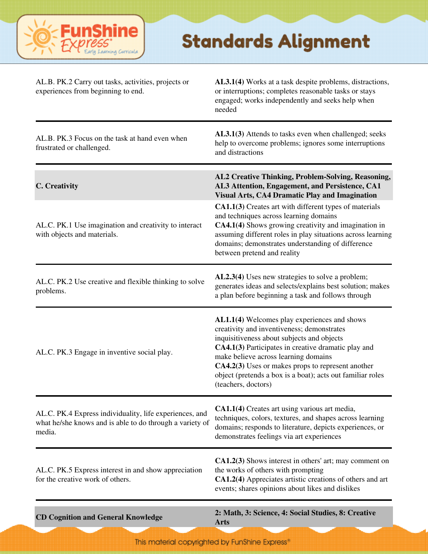

| AL.B. PK.2 Carry out tasks, activities, projects or<br>experiences from beginning to end.                                     | AL3.1(4) Works at a task despite problems, distractions,<br>or interruptions; completes reasonable tasks or stays<br>engaged; works independently and seeks help when<br>needed                                                                                                                                                                                                   |
|-------------------------------------------------------------------------------------------------------------------------------|-----------------------------------------------------------------------------------------------------------------------------------------------------------------------------------------------------------------------------------------------------------------------------------------------------------------------------------------------------------------------------------|
| AL.B. PK.3 Focus on the task at hand even when<br>frustrated or challenged.                                                   | AL3.1(3) Attends to tasks even when challenged; seeks<br>help to overcome problems; ignores some interruptions<br>and distractions                                                                                                                                                                                                                                                |
| C. Creativity                                                                                                                 | AL2 Creative Thinking, Problem-Solving, Reasoning,<br>AL3 Attention, Engagement, and Persistence, CA1<br><b>Visual Arts, CA4 Dramatic Play and Imagination</b>                                                                                                                                                                                                                    |
| AL.C. PK.1 Use imagination and creativity to interact<br>with objects and materials.                                          | CA1.1(3) Creates art with different types of materials<br>and techniques across learning domains<br>CA4.1(4) Shows growing creativity and imagination in<br>assuming different roles in play situations across learning<br>domains; demonstrates understanding of difference<br>between pretend and reality                                                                       |
| AL.C. PK.2 Use creative and flexible thinking to solve<br>problems.                                                           | AL2.3(4) Uses new strategies to solve a problem;<br>generates ideas and selects/explains best solution; makes<br>a plan before beginning a task and follows through                                                                                                                                                                                                               |
| AL.C. PK.3 Engage in inventive social play.                                                                                   | AL1.1(4) Welcomes play experiences and shows<br>creativity and inventiveness; demonstrates<br>inquisitiveness about subjects and objects<br>CA4.1(3) Participates in creative dramatic play and<br>make believe across learning domains<br>CA4.2(3) Uses or makes props to represent another<br>object (pretends a box is a boat); acts out familiar roles<br>(teachers, doctors) |
| AL.C. PK.4 Express individuality, life experiences, and<br>what he/she knows and is able to do through a variety of<br>media. | CA1.1(4) Creates art using various art media,<br>techniques, colors, textures, and shapes across learning<br>domains; responds to literature, depicts experiences, or<br>demonstrates feelings via art experiences                                                                                                                                                                |
| AL.C. PK.5 Express interest in and show appreciation<br>for the creative work of others.                                      | CA1.2(3) Shows interest in others' art; may comment on<br>the works of others with prompting<br>CA1.2(4) Appreciates artistic creations of others and art<br>events; shares opinions about likes and dislikes                                                                                                                                                                     |
| <b>CD Cognition and General Knowledge</b>                                                                                     | 2: Math, 3: Science, 4: Social Studies, 8: Creative<br><b>Arts</b>                                                                                                                                                                                                                                                                                                                |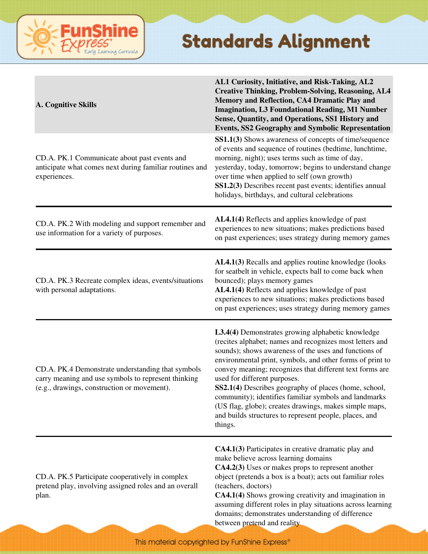| A. Cognitive Skills                                                                                                                                     | AL1 Curiosity, Initiative, and Risk-Taking, AL2<br><b>Creative Thinking, Problem-Solving, Reasoning, AL4</b><br>Memory and Reflection, CA4 Dramatic Play and<br><b>Imagination, L3 Foundational Reading, M1 Number</b><br>Sense, Quantity, and Operations, SS1 History and<br><b>Events, SS2 Geography and Symbolic Representation</b>                                                                                                                                                                                                                                           |
|---------------------------------------------------------------------------------------------------------------------------------------------------------|----------------------------------------------------------------------------------------------------------------------------------------------------------------------------------------------------------------------------------------------------------------------------------------------------------------------------------------------------------------------------------------------------------------------------------------------------------------------------------------------------------------------------------------------------------------------------------|
| CD.A. PK.1 Communicate about past events and<br>anticipate what comes next during familiar routines and<br>experiences.                                 | <b>SS1.1(3)</b> Shows awareness of concepts of time/sequence<br>of events and sequence of routines (bedtime, lunchtime,<br>morning, night); uses terms such as time of day,<br>yesterday, today, tomorrow; begins to understand change<br>over time when applied to self (own growth)<br>SS1.2(3) Describes recent past events; identifies annual<br>holidays, birthdays, and cultural celebrations                                                                                                                                                                              |
| CD.A. PK.2 With modeling and support remember and<br>use information for a variety of purposes.                                                         | AL4.1(4) Reflects and applies knowledge of past<br>experiences to new situations; makes predictions based<br>on past experiences; uses strategy during memory games                                                                                                                                                                                                                                                                                                                                                                                                              |
| CD.A. PK.3 Recreate complex ideas, events/situations<br>with personal adaptations.                                                                      | AL4.1(3) Recalls and applies routine knowledge (looks<br>for seatbelt in vehicle, expects ball to come back when<br>bounced); plays memory games<br>AL4.1(4) Reflects and applies knowledge of past<br>experiences to new situations; makes predictions based<br>on past experiences; uses strategy during memory games                                                                                                                                                                                                                                                          |
| CD.A. PK.4 Demonstrate understanding that symbols<br>carry meaning and use symbols to represent thinking<br>(e.g., drawings, construction or movement). | L3.4(4) Demonstrates growing alphabetic knowledge<br>(recites alphabet; names and recognizes most letters and<br>sounds); shows awareness of the uses and functions of<br>environmental print, symbols, and other forms of print to<br>convey meaning; recognizes that different text forms are<br>used for different purposes.<br>SS2.1(4) Describes geography of places (home, school,<br>community); identifies familiar symbols and landmarks<br>(US flag, globe); creates drawings, makes simple maps,<br>and builds structures to represent people, places, and<br>things. |
| CD.A. PK.5 Participate cooperatively in complex<br>pretend play, involving assigned roles and an overall<br>plan.                                       | CA4.1(3) Participates in creative dramatic play and<br>make believe across learning domains<br>CA4.2(3) Uses or makes props to represent another<br>object (pretends a box is a boat); acts out familiar roles<br>(teachers, doctors)<br>CA4.1(4) Shows growing creativity and imagination in<br>assuming different roles in play situations across learning<br>domains; demonstrates understanding of difference<br>between pretend and reality.                                                                                                                                |

**FunShine** 

Learning Curricula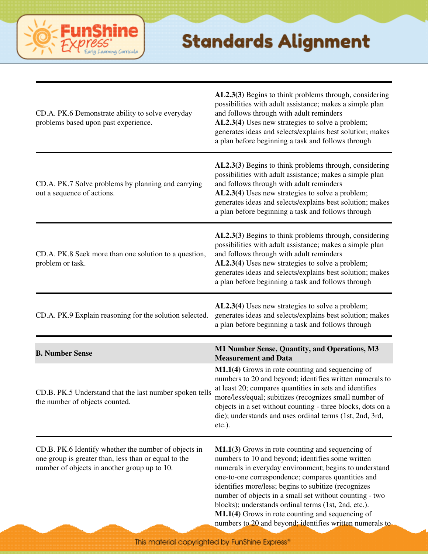

| CD.A. PK.6 Demonstrate ability to solve everyday<br>problems based upon past experience.                                                                     | AL2.3(3) Begins to think problems through, considering<br>possibilities with adult assistance; makes a simple plan<br>and follows through with adult reminders<br>AL2.3(4) Uses new strategies to solve a problem;<br>generates ideas and selects/explains best solution; makes<br>a plan before beginning a task and follows through                                                                                                                                                                              |
|--------------------------------------------------------------------------------------------------------------------------------------------------------------|--------------------------------------------------------------------------------------------------------------------------------------------------------------------------------------------------------------------------------------------------------------------------------------------------------------------------------------------------------------------------------------------------------------------------------------------------------------------------------------------------------------------|
| CD.A. PK.7 Solve problems by planning and carrying<br>out a sequence of actions.                                                                             | AL2.3(3) Begins to think problems through, considering<br>possibilities with adult assistance; makes a simple plan<br>and follows through with adult reminders<br>AL2.3(4) Uses new strategies to solve a problem;<br>generates ideas and selects/explains best solution; makes<br>a plan before beginning a task and follows through                                                                                                                                                                              |
| CD.A. PK.8 Seek more than one solution to a question,<br>problem or task.                                                                                    | AL2.3(3) Begins to think problems through, considering<br>possibilities with adult assistance; makes a simple plan<br>and follows through with adult reminders<br>AL2.3(4) Uses new strategies to solve a problem;<br>generates ideas and selects/explains best solution; makes<br>a plan before beginning a task and follows through                                                                                                                                                                              |
| CD.A. PK.9 Explain reasoning for the solution selected.                                                                                                      | AL2.3(4) Uses new strategies to solve a problem;<br>generates ideas and selects/explains best solution; makes<br>a plan before beginning a task and follows through                                                                                                                                                                                                                                                                                                                                                |
| <b>B. Number Sense</b>                                                                                                                                       | M1 Number Sense, Quantity, and Operations, M3<br><b>Measurement and Data</b>                                                                                                                                                                                                                                                                                                                                                                                                                                       |
| CD.B. PK.5 Understand that the last number spoken tells<br>the number of objects counted.                                                                    | M1.1(4) Grows in rote counting and sequencing of<br>numbers to 20 and beyond; identifies written numerals to<br>at least 20; compares quantities in sets and identifies<br>more/less/equal; subitizes (recognizes small number of<br>objects in a set without counting - three blocks, dots on a<br>die); understands and uses ordinal terms (1st, 2nd, 3rd,<br>etc.).                                                                                                                                             |
| CD.B. PK.6 Identify whether the number of objects in<br>one group is greater than, less than or equal to the<br>number of objects in another group up to 10. | $M1.1(3)$ Grows in rote counting and sequencing of<br>numbers to 10 and beyond; identifies some written<br>numerals in everyday environment; begins to understand<br>one-to-one correspondence; compares quantities and<br>identifies more/less; begins to subitize (recognizes<br>number of objects in a small set without counting - two<br>blocks); understands ordinal terms (1st, 2nd, etc.).<br>M1.1(4) Grows in rote counting and sequencing of<br>numbers to 20 and beyond; identifies written numerals to |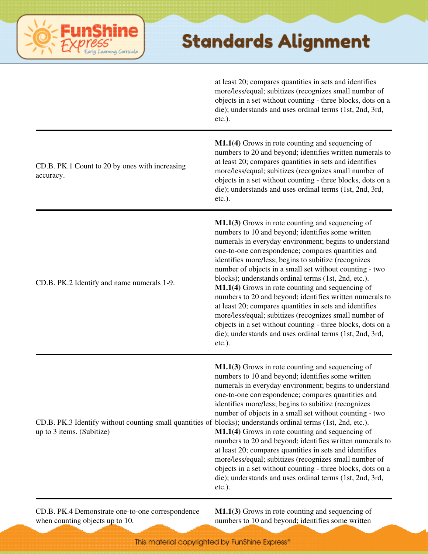

at least 20; compares quantities in sets and identifies more/less/equal; subitizes (recognizes small number of objects in a set without counting - three blocks, dots on a die); understands and uses ordinal terms (1st, 2nd, 3rd, etc.).

| CD.B. PK.1 Count to 20 by ones with increasing<br>accuracy.                                                                                | M1.1(4) Grows in rote counting and sequencing of<br>numbers to 20 and beyond; identifies written numerals to<br>at least 20; compares quantities in sets and identifies<br>more/less/equal; subitizes (recognizes small number of<br>objects in a set without counting - three blocks, dots on a<br>die); understands and uses ordinal terms (1st, 2nd, 3rd,<br>$etc.$ ).                                                                                                                                                                                                                                                                                                                                                                                                  |
|--------------------------------------------------------------------------------------------------------------------------------------------|----------------------------------------------------------------------------------------------------------------------------------------------------------------------------------------------------------------------------------------------------------------------------------------------------------------------------------------------------------------------------------------------------------------------------------------------------------------------------------------------------------------------------------------------------------------------------------------------------------------------------------------------------------------------------------------------------------------------------------------------------------------------------|
| CD.B. PK.2 Identify and name numerals 1-9.                                                                                                 | M1.1(3) Grows in rote counting and sequencing of<br>numbers to 10 and beyond; identifies some written<br>numerals in everyday environment; begins to understand<br>one-to-one correspondence; compares quantities and<br>identifies more/less; begins to subitize (recognizes<br>number of objects in a small set without counting - two<br>blocks); understands ordinal terms (1st, 2nd, etc.).<br>M1.1(4) Grows in rote counting and sequencing of<br>numbers to 20 and beyond; identifies written numerals to<br>at least 20; compares quantities in sets and identifies<br>more/less/equal; subitizes (recognizes small number of<br>objects in a set without counting - three blocks, dots on a<br>die); understands and uses ordinal terms (1st, 2nd, 3rd,<br>etc.). |
| CD.B. PK.3 Identify without counting small quantities of blocks); understands ordinal terms (1st, 2nd, etc.).<br>up to 3 items. (Subitize) | M1.1(3) Grows in rote counting and sequencing of<br>numbers to 10 and beyond; identifies some written<br>numerals in everyday environment; begins to understand<br>one-to-one correspondence; compares quantities and<br>identifies more/less; begins to subitize (recognizes<br>number of objects in a small set without counting - two<br>M1.1(4) Grows in rote counting and sequencing of<br>numbers to 20 and beyond; identifies written numerals to<br>at least 20; compares quantities in sets and identifies<br>more/less/equal; subitizes (recognizes small number of<br>objects in a set without counting - three blocks, dots on a<br>die); understands and uses ordinal terms (1st, 2nd, 3rd,<br>$etc.$ ).                                                      |

CD.B. PK.4 Demonstrate one-to-one correspondence when counting objects up to 10.

**M1.1(3)** Grows in rote counting and sequencing of numbers to 10 and beyond; identifies some written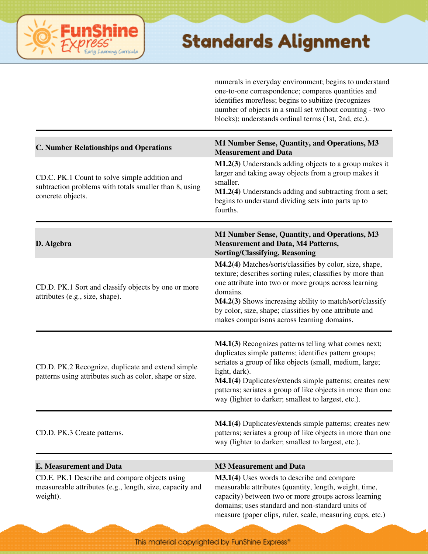# ning Curricula

#### **Standards Alignment**

numerals in everyday environment; begins to understand one-to-one correspondence; compares quantities and identifies more/less; begins to subitize (recognizes number of objects in a small set without counting - two blocks); understands ordinal terms (1st, 2nd, etc.).

| <b>C. Number Relationships and Operations</b>                                                                                | M1 Number Sense, Quantity, and Operations, M3<br><b>Measurement and Data</b>                                                                                                                                                                                                                                                                                                |
|------------------------------------------------------------------------------------------------------------------------------|-----------------------------------------------------------------------------------------------------------------------------------------------------------------------------------------------------------------------------------------------------------------------------------------------------------------------------------------------------------------------------|
| CD.C. PK.1 Count to solve simple addition and<br>subtraction problems with totals smaller than 8, using<br>concrete objects. | M1.2(3) Understands adding objects to a group makes it<br>larger and taking away objects from a group makes it<br>smaller.<br>M1.2(4) Understands adding and subtracting from a set;<br>begins to understand dividing sets into parts up to<br>fourths.                                                                                                                     |
| D. Algebra                                                                                                                   | M1 Number Sense, Quantity, and Operations, M3<br><b>Measurement and Data, M4 Patterns,</b><br><b>Sorting/Classifying, Reasoning</b>                                                                                                                                                                                                                                         |
| CD.D. PK.1 Sort and classify objects by one or more<br>attributes (e.g., size, shape).                                       | M4.2(4) Matches/sorts/classifies by color, size, shape,<br>texture; describes sorting rules; classifies by more than<br>one attribute into two or more groups across learning<br>domains.<br>M4.2(3) Shows increasing ability to match/sort/classify<br>by color, size, shape; classifies by one attribute and<br>makes comparisons across learning domains.                |
| CD.D. PK.2 Recognize, duplicate and extend simple<br>patterns using attributes such as color, shape or size.                 | M4.1(3) Recognizes patterns telling what comes next;<br>duplicates simple patterns; identifies pattern groups;<br>seriates a group of like objects (small, medium, large;<br>light, dark).<br>M4.1(4) Duplicates/extends simple patterns; creates new<br>patterns; seriates a group of like objects in more than one<br>way (lighter to darker; smallest to largest, etc.). |
| CD.D. PK.3 Create patterns.                                                                                                  | M4.1(4) Duplicates/extends simple patterns; creates new<br>patterns; seriates a group of like objects in more than one<br>way (lighter to darker; smallest to largest, etc.).                                                                                                                                                                                               |
|                                                                                                                              |                                                                                                                                                                                                                                                                                                                                                                             |
| <b>E. Measurement and Data</b>                                                                                               | <b>M3 Measurement and Data</b>                                                                                                                                                                                                                                                                                                                                              |
| CD.E. PK.1 Describe and compare objects using<br>measureable attributes (e.g., length, size, capacity and<br>weight).        | M3.1(4) Uses words to describe and compare<br>measurable attributes (quantity, length, weight, time,<br>capacity) between two or more groups across learning<br>domains; uses standard and non-standard units of<br>measure (paper clips, ruler, scale, measuring cups, etc.)                                                                                               |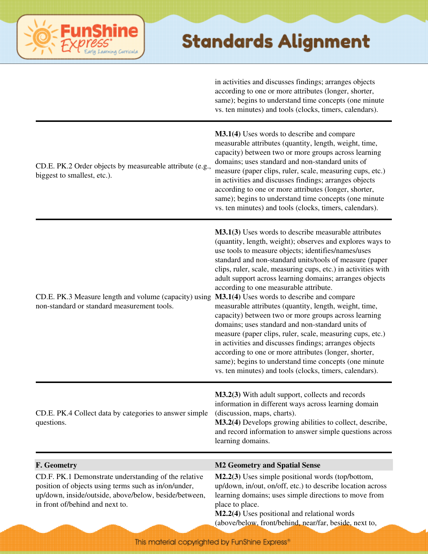| in activities and discusses findings; arranges objects  |  |
|---------------------------------------------------------|--|
| according to one or more attributes (longer, shorter,   |  |
| same); begins to understand time concepts (one minute   |  |
| vs. ten minutes) and tools (clocks, timers, calendars). |  |

| CD.E. PK.2 Order objects by measureable attribute (e.g.,<br>biggest to smallest, etc.).                                                                                                                  | M3.1(4) Uses words to describe and compare<br>measurable attributes (quantity, length, weight, time,<br>capacity) between two or more groups across learning<br>domains; uses standard and non-standard units of<br>measure (paper clips, ruler, scale, measuring cups, etc.)<br>in activities and discusses findings; arranges objects<br>according to one or more attributes (longer, shorter,<br>same); begins to understand time concepts (one minute<br>vs. ten minutes) and tools (clocks, timers, calendars).                                                                                                                                                                                                                                                                                                                                                                                                                     |
|----------------------------------------------------------------------------------------------------------------------------------------------------------------------------------------------------------|------------------------------------------------------------------------------------------------------------------------------------------------------------------------------------------------------------------------------------------------------------------------------------------------------------------------------------------------------------------------------------------------------------------------------------------------------------------------------------------------------------------------------------------------------------------------------------------------------------------------------------------------------------------------------------------------------------------------------------------------------------------------------------------------------------------------------------------------------------------------------------------------------------------------------------------|
| CD.E. PK.3 Measure length and volume (capacity) using<br>non-standard or standard measurement tools.                                                                                                     | <b>M3.1(3)</b> Uses words to describe measurable attributes<br>(quantity, length, weight); observes and explores ways to<br>use tools to measure objects; identifies/names/uses<br>standard and non-standard units/tools of measure (paper<br>clips, ruler, scale, measuring cups, etc.) in activities with<br>adult support across learning domains; arranges objects<br>according to one measurable attribute.<br>M3.1(4) Uses words to describe and compare<br>measurable attributes (quantity, length, weight, time,<br>capacity) between two or more groups across learning<br>domains; uses standard and non-standard units of<br>measure (paper clips, ruler, scale, measuring cups, etc.)<br>in activities and discusses findings; arranges objects<br>according to one or more attributes (longer, shorter,<br>same); begins to understand time concepts (one minute<br>vs. ten minutes) and tools (clocks, timers, calendars). |
| CD.E. PK.4 Collect data by categories to answer simple<br>questions.                                                                                                                                     | M3.2(3) With adult support, collects and records<br>information in different ways across learning domain<br>(discussion, maps, charts).<br>M3.2(4) Develops growing abilities to collect, describe,<br>and record information to answer simple questions across<br>learning domains.                                                                                                                                                                                                                                                                                                                                                                                                                                                                                                                                                                                                                                                     |
| F. Geometry                                                                                                                                                                                              | <b>M2 Geometry and Spatial Sense</b>                                                                                                                                                                                                                                                                                                                                                                                                                                                                                                                                                                                                                                                                                                                                                                                                                                                                                                     |
| CD.F. PK.1 Demonstrate understanding of the relative<br>position of objects using terms such as in/on/under,<br>up/down, inside/outside, above/below, beside/between,<br>in front of/behind and next to. | M2.2(3) Uses simple positional words (top/bottom,<br>up/down, in/out, on/off, etc.) to describe location across<br>learning domains; uses simple directions to move from<br>place to place.<br>M2.2(4) Uses positional and relational words<br>(above/below front/behind near/far beside next to                                                                                                                                                                                                                                                                                                                                                                                                                                                                                                                                                                                                                                         |

**FunShine** 

Learning Curricula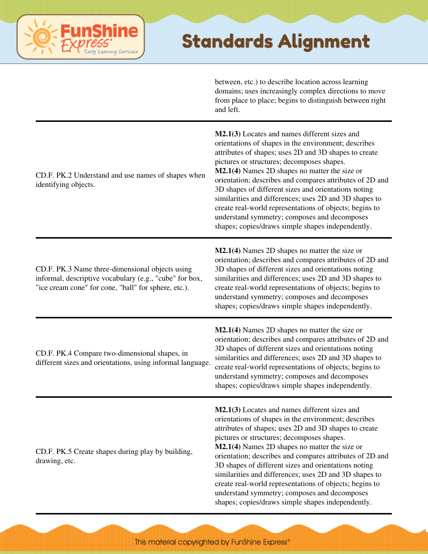

between, etc.) to describe location across learning domains; uses increasingly complex directions to move from place to place; begins to distinguish between right and left.

| CD.F. PK.2 Understand and use names of shapes when<br>identifying objects.                                                                                         | M2.1(3) Locates and names different sizes and<br>orientations of shapes in the environment; describes<br>attributes of shapes; uses 2D and 3D shapes to create<br>pictures or structures; decomposes shapes.<br>M2.1(4) Names 2D shapes no matter the size or<br>orientation; describes and compares attributes of 2D and<br>3D shapes of different sizes and orientations noting<br>similarities and differences; uses 2D and 3D shapes to<br>create real-world representations of objects; begins to<br>understand symmetry; composes and decomposes<br>shapes; copies/draws simple shapes independently.   |
|--------------------------------------------------------------------------------------------------------------------------------------------------------------------|---------------------------------------------------------------------------------------------------------------------------------------------------------------------------------------------------------------------------------------------------------------------------------------------------------------------------------------------------------------------------------------------------------------------------------------------------------------------------------------------------------------------------------------------------------------------------------------------------------------|
| CD.F. PK.3 Name three-dimensional objects using<br>informal, descriptive vocabulary (e.g., "cube" for box,<br>"ice cream cone" for cone, "ball" for sphere, etc.). | $M2.1(4)$ Names 2D shapes no matter the size or<br>orientation; describes and compares attributes of 2D and<br>3D shapes of different sizes and orientations noting<br>similarities and differences; uses 2D and 3D shapes to<br>create real-world representations of objects; begins to<br>understand symmetry; composes and decomposes<br>shapes; copies/draws simple shapes independently.                                                                                                                                                                                                                 |
| CD.F. PK.4 Compare two-dimensional shapes, in<br>different sizes and orientations, using informal language.                                                        | $M2.1(4)$ Names 2D shapes no matter the size or<br>orientation; describes and compares attributes of 2D and<br>3D shapes of different sizes and orientations noting<br>similarities and differences; uses 2D and 3D shapes to<br>create real-world representations of objects; begins to<br>understand symmetry; composes and decomposes<br>shapes; copies/draws simple shapes independently.                                                                                                                                                                                                                 |
| CD.F. PK.5 Create shapes during play by building,<br>drawing, etc.                                                                                                 | M2.1(3) Locates and names different sizes and<br>orientations of shapes in the environment; describes<br>attributes of shapes; uses 2D and 3D shapes to create<br>pictures or structures; decomposes shapes.<br>$M2.1(4)$ Names 2D shapes no matter the size or<br>orientation; describes and compares attributes of 2D and<br>3D shapes of different sizes and orientations noting<br>similarities and differences; uses 2D and 3D shapes to<br>create real-world representations of objects; begins to<br>understand symmetry; composes and decomposes<br>shapes; copies/draws simple shapes independently. |

This material copyrighted by FunShine Express"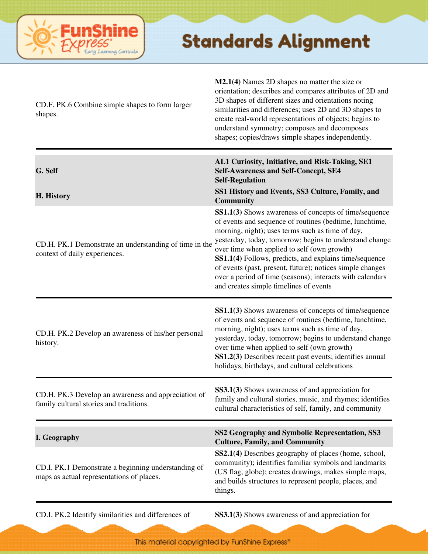

| CD.F. PK.6 Combine simple shapes to form larger<br>shapes.                                       | M2.1(4) Names 2D shapes no matter the size or<br>orientation; describes and compares attributes of 2D and<br>3D shapes of different sizes and orientations noting<br>similarities and differences; uses 2D and 3D shapes to<br>create real-world representations of objects; begins to<br>understand symmetry; composes and decomposes<br>shapes; copies/draws simple shapes independently.                                                                                                                  |
|--------------------------------------------------------------------------------------------------|--------------------------------------------------------------------------------------------------------------------------------------------------------------------------------------------------------------------------------------------------------------------------------------------------------------------------------------------------------------------------------------------------------------------------------------------------------------------------------------------------------------|
| G. Self                                                                                          | AL1 Curiosity, Initiative, and Risk-Taking, SE1<br><b>Self-Awareness and Self-Concept, SE4</b><br><b>Self-Regulation</b>                                                                                                                                                                                                                                                                                                                                                                                     |
| H. History                                                                                       | SS1 History and Events, SS3 Culture, Family, and<br><b>Community</b>                                                                                                                                                                                                                                                                                                                                                                                                                                         |
| CD.H. PK.1 Demonstrate an understanding of time in the<br>context of daily experiences.          | SS1.1(3) Shows awareness of concepts of time/sequence<br>of events and sequence of routines (bedtime, lunchtime,<br>morning, night); uses terms such as time of day,<br>yesterday, today, tomorrow; begins to understand change<br>over time when applied to self (own growth)<br>SS1.1(4) Follows, predicts, and explains time/sequence<br>of events (past, present, future); notices simple changes<br>over a period of time (seasons); interacts with calendars<br>and creates simple timelines of events |
| CD.H. PK.2 Develop an awareness of his/her personal<br>history.                                  | SS1.1(3) Shows awareness of concepts of time/sequence<br>of events and sequence of routines (bedtime, lunchtime,<br>morning, night); uses terms such as time of day,<br>yesterday, today, tomorrow; begins to understand change<br>over time when applied to self (own growth)<br>SS1.2(3) Describes recent past events; identifies annual<br>holidays, birthdays, and cultural celebrations                                                                                                                 |
| CD.H. PK.3 Develop an awareness and appreciation of<br>family cultural stories and traditions.   | SS3.1(3) Shows awareness of and appreciation for<br>family and cultural stories, music, and rhymes; identifies<br>cultural characteristics of self, family, and community                                                                                                                                                                                                                                                                                                                                    |
| I. Geography                                                                                     | SS2 Geography and Symbolic Representation, SS3<br><b>Culture, Family, and Community</b>                                                                                                                                                                                                                                                                                                                                                                                                                      |
| CD.I. PK.1 Demonstrate a beginning understanding of<br>maps as actual representations of places. | SS2.1(4) Describes geography of places (home, school,<br>community); identifies familiar symbols and landmarks<br>(US flag, globe); creates drawings, makes simple maps,<br>and builds structures to represent people, places, and<br>things.                                                                                                                                                                                                                                                                |

CD.I. PK.2 Identify similarities and differences of **SS3.1(3)** Shows awareness of and appreciation for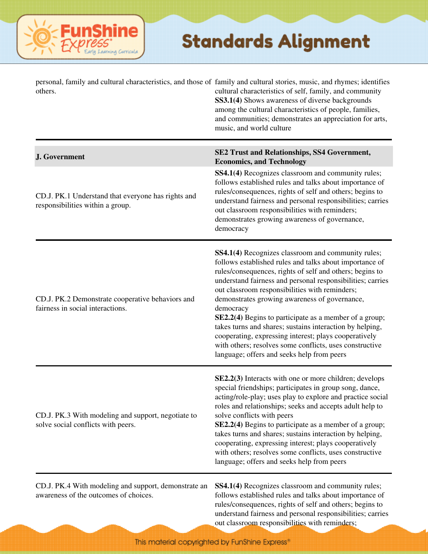#### **FunShine** saming Curricula

#### **Standards Alignment**

| others.                                                                                       | personal, family and cultural characteristics, and those of family and cultural stories, music, and rhymes; identifies<br>cultural characteristics of self, family, and community<br>SS3.1(4) Shows awareness of diverse backgrounds<br>among the cultural characteristics of people, families,<br>and communities; demonstrates an appreciation for arts,<br>music, and world culture                                                                                                                                                                                                                                                          |
|-----------------------------------------------------------------------------------------------|-------------------------------------------------------------------------------------------------------------------------------------------------------------------------------------------------------------------------------------------------------------------------------------------------------------------------------------------------------------------------------------------------------------------------------------------------------------------------------------------------------------------------------------------------------------------------------------------------------------------------------------------------|
| J. Government                                                                                 | SE2 Trust and Relationships, SS4 Government,<br><b>Economics, and Technology</b>                                                                                                                                                                                                                                                                                                                                                                                                                                                                                                                                                                |
| CD.J. PK.1 Understand that everyone has rights and<br>responsibilities within a group.        | SS4.1(4) Recognizes classroom and community rules;<br>follows established rules and talks about importance of<br>rules/consequences, rights of self and others; begins to<br>understand fairness and personal responsibilities; carries<br>out classroom responsibilities with reminders;<br>demonstrates growing awareness of governance,<br>democracy                                                                                                                                                                                                                                                                                         |
| CD.J. PK.2 Demonstrate cooperative behaviors and<br>fairness in social interactions.          | SS4.1(4) Recognizes classroom and community rules;<br>follows established rules and talks about importance of<br>rules/consequences, rights of self and others; begins to<br>understand fairness and personal responsibilities; carries<br>out classroom responsibilities with reminders;<br>demonstrates growing awareness of governance,<br>democracy<br>SE2.2(4) Begins to participate as a member of a group;<br>takes turns and shares; sustains interaction by helping,<br>cooperating, expressing interest; plays cooperatively<br>with others; resolves some conflicts, uses constructive<br>language; offers and seeks help from peers |
| CD.J. PK.3 With modeling and support, negotiate to<br>solve social conflicts with peers.      | SE2.2(3) Interacts with one or more children; develops<br>special friendships; participates in group song, dance,<br>acting/role-play; uses play to explore and practice social<br>roles and relationships; seeks and accepts adult help to<br>solve conflicts with peers<br>SE2.2(4) Begins to participate as a member of a group;<br>takes turns and shares; sustains interaction by helping,<br>cooperating, expressing interest; plays cooperatively<br>with others; resolves some conflicts, uses constructive<br>language; offers and seeks help from peers                                                                               |
| CD.J. PK.4 With modeling and support, demonstrate an<br>awareness of the outcomes of choices. | SS4.1(4) Recognizes classroom and community rules;<br>follows established rules and talks about importance of<br>rules/consequences, rights of self and others; begins to<br>understand fairness and personal responsibilities; carries                                                                                                                                                                                                                                                                                                                                                                                                         |

out classroom responsibilities with reminders;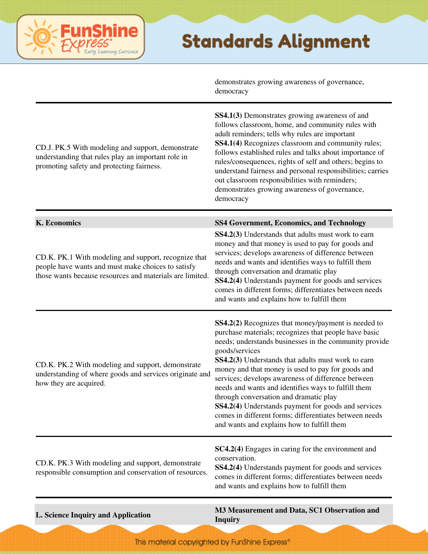demonstrates growing awareness of governance,

|                                                                                                                                                                                               | democracy                                                                                                                                                                                                                                                                                                                                                                                                                                                                                                                                                                                                                 |
|-----------------------------------------------------------------------------------------------------------------------------------------------------------------------------------------------|---------------------------------------------------------------------------------------------------------------------------------------------------------------------------------------------------------------------------------------------------------------------------------------------------------------------------------------------------------------------------------------------------------------------------------------------------------------------------------------------------------------------------------------------------------------------------------------------------------------------------|
| CD.J. PK.5 With modeling and support, demonstrate<br>understanding that rules play an important role in<br>promoting safety and protecting fairness.                                          | SS4.1(3) Demonstrates growing awareness of and<br>follows classroom, home, and community rules with<br>adult reminders; tells why rules are important<br>SS4.1(4) Recognizes classroom and community rules;<br>follows established rules and talks about importance of<br>rules/consequences, rights of self and others; begins to<br>understand fairness and personal responsibilities; carries<br>out classroom responsibilities with reminders;<br>demonstrates growing awareness of governance,<br>democracy                                                                                                          |
| <b>K.</b> Economics<br>CD.K. PK.1 With modeling and support, recognize that<br>people have wants and must make choices to satisfy<br>those wants because resources and materials are limited. | <b>SS4 Government, Economics, and Technology</b><br>SS4.2(3) Understands that adults must work to earn<br>money and that money is used to pay for goods and<br>services; develops awareness of difference between<br>needs and wants and identifies ways to fulfill them<br>through conversation and dramatic play<br>SS4.2(4) Understands payment for goods and services<br>comes in different forms; differentiates between needs<br>and wants and explains how to fulfill them                                                                                                                                         |
| CD.K. PK.2 With modeling and support, demonstrate<br>understanding of where goods and services originate and<br>how they are acquired.                                                        | SS4.2(2) Recognizes that money/payment is needed to<br>purchase materials; recognizes that people have basic<br>needs; understands businesses in the community provide<br>goods/services<br>SS4.2(3) Understands that adults must work to earn<br>money and that money is used to pay for goods and<br>services; develops awareness of difference between<br>needs and wants and identifies ways to fulfill them<br>through conversation and dramatic play<br>SS4.2(4) Understands payment for goods and services<br>comes in different forms; differentiates between needs<br>and wants and explains how to fulfill them |
| CD.K. PK.3 With modeling and support, demonstrate<br>responsible consumption and conservation of resources.                                                                                   | SC4.2(4) Engages in caring for the environment and<br>conservation.<br>SS4.2(4) Understands payment for goods and services<br>comes in different forms; differentiates between needs<br>and wants and explains how to fulfill them                                                                                                                                                                                                                                                                                                                                                                                        |
|                                                                                                                                                                                               | $1 \, \mathrm{D}$ $\sim$ $\sim$ $\,$ $\alpha$ $\sim$ $\alpha$ $\alpha$ $\sim$                                                                                                                                                                                                                                                                                                                                                                                                                                                                                                                                             |

ine

erning Carricula

**L. Science Inquiry and Application M3 Measurement and Data, SC1 Observation and Inquiry**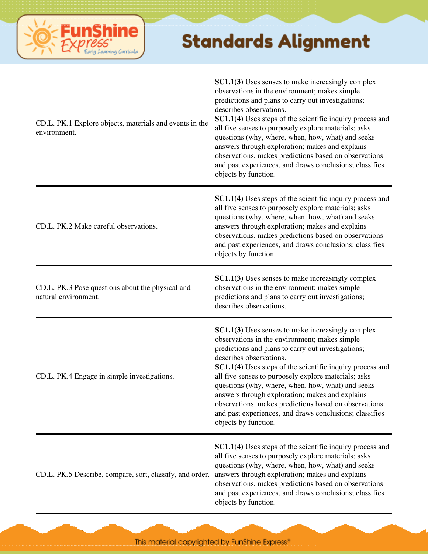| CD.L. PK.1 Explore objects, materials and events in the<br>environment.  | SC1.1(3) Uses senses to make increasingly complex<br>observations in the environment; makes simple<br>predictions and plans to carry out investigations;<br>describes observations.<br>SC1.1(4) Uses steps of the scientific inquiry process and<br>all five senses to purposely explore materials; asks<br>questions (why, where, when, how, what) and seeks<br>answers through exploration; makes and explains<br>observations, makes predictions based on observations<br>and past experiences, and draws conclusions; classifies<br>objects by function.        |
|--------------------------------------------------------------------------|---------------------------------------------------------------------------------------------------------------------------------------------------------------------------------------------------------------------------------------------------------------------------------------------------------------------------------------------------------------------------------------------------------------------------------------------------------------------------------------------------------------------------------------------------------------------|
| CD.L. PK.2 Make careful observations.                                    | <b>SC1.1(4)</b> Uses steps of the scientific inquiry process and<br>all five senses to purposely explore materials; asks<br>questions (why, where, when, how, what) and seeks<br>answers through exploration; makes and explains<br>observations, makes predictions based on observations<br>and past experiences, and draws conclusions; classifies<br>objects by function.                                                                                                                                                                                        |
| CD.L. PK.3 Pose questions about the physical and<br>natural environment. | SC1.1(3) Uses senses to make increasingly complex<br>observations in the environment; makes simple<br>predictions and plans to carry out investigations;<br>describes observations.                                                                                                                                                                                                                                                                                                                                                                                 |
| CD.L. PK.4 Engage in simple investigations.                              | SC1.1(3) Uses senses to make increasingly complex<br>observations in the environment; makes simple<br>predictions and plans to carry out investigations;<br>describes observations.<br><b>SC1.1(4)</b> Uses steps of the scientific inquiry process and<br>all five senses to purposely explore materials; asks<br>questions (why, where, when, how, what) and seeks<br>answers through exploration; makes and explains<br>observations, makes predictions based on observations<br>and past experiences, and draws conclusions; classifies<br>objects by function. |
| CD.L. PK.5 Describe, compare, sort, classify, and order.                 | <b>SC1.1(4)</b> Uses steps of the scientific inquiry process and<br>all five senses to purposely explore materials; asks<br>questions (why, where, when, how, what) and seeks<br>answers through exploration; makes and explains<br>observations, makes predictions based on observations<br>and past experiences, and draws conclusions; classifies<br>objects by function.                                                                                                                                                                                        |

**FunShine** 

Learning Curricula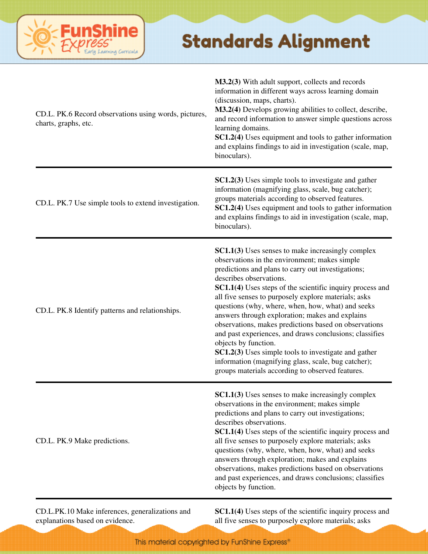

| CD.L. PK.6 Record observations using words, pictures,<br>charts, graphs, etc. | M3.2(3) With adult support, collects and records<br>information in different ways across learning domain<br>(discussion, maps, charts).<br>M3.2(4) Develops growing abilities to collect, describe,<br>and record information to answer simple questions across<br>learning domains.<br>SC1.2(4) Uses equipment and tools to gather information<br>and explains findings to aid in investigation (scale, map,<br>binoculars).                                                                                                                                                                                                                                                                                                                 |
|-------------------------------------------------------------------------------|-----------------------------------------------------------------------------------------------------------------------------------------------------------------------------------------------------------------------------------------------------------------------------------------------------------------------------------------------------------------------------------------------------------------------------------------------------------------------------------------------------------------------------------------------------------------------------------------------------------------------------------------------------------------------------------------------------------------------------------------------|
| CD.L. PK.7 Use simple tools to extend investigation.                          | <b>SC1.2(3)</b> Uses simple tools to investigate and gather<br>information (magnifying glass, scale, bug catcher);<br>groups materials according to observed features.<br>SC1.2(4) Uses equipment and tools to gather information<br>and explains findings to aid in investigation (scale, map,<br>binoculars).                                                                                                                                                                                                                                                                                                                                                                                                                               |
| CD.L. PK.8 Identify patterns and relationships.                               | <b>SC1.1(3)</b> Uses senses to make increasingly complex<br>observations in the environment; makes simple<br>predictions and plans to carry out investigations;<br>describes observations.<br>SC1.1(4) Uses steps of the scientific inquiry process and<br>all five senses to purposely explore materials; asks<br>questions (why, where, when, how, what) and seeks<br>answers through exploration; makes and explains<br>observations, makes predictions based on observations<br>and past experiences, and draws conclusions; classifies<br>objects by function.<br><b>SC1.2(3)</b> Uses simple tools to investigate and gather<br>information (magnifying glass, scale, bug catcher);<br>groups materials according to observed features. |
| CD.L. PK.9 Make predictions.                                                  | <b>SC1.1(3)</b> Uses senses to make increasingly complex<br>observations in the environment; makes simple<br>predictions and plans to carry out investigations;<br>describes observations.<br><b>SC1.1(4)</b> Uses steps of the scientific inquiry process and<br>all five senses to purposely explore materials; asks<br>questions (why, where, when, how, what) and seeks<br>answers through exploration; makes and explains<br>observations, makes predictions based on observations<br>and past experiences, and draws conclusions; classifies<br>objects by function.                                                                                                                                                                    |

CD.L.PK.10 Make inferences, generalizations and explanations based on evidence.

**SC1.1(4)** Uses steps of the scientific inquiry process and all five senses to purposely explore materials; asks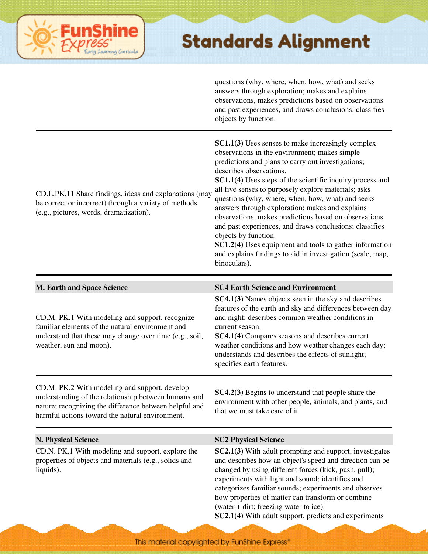

questions (why, where, when, how, what) and seeks answers through exploration; makes and explains observations, makes predictions based on observations and past experiences, and draws conclusions; classifies objects by function.

| CD.L.PK.11 Share findings, ideas and explanations (may<br>be correct or incorrect) through a variety of methods<br>(e.g., pictures, words, dramatization).                                                         | <b>SC1.1(3)</b> Uses senses to make increasingly complex<br>observations in the environment; makes simple<br>predictions and plans to carry out investigations;<br>describes observations.<br><b>SC1.1(4)</b> Uses steps of the scientific inquiry process and<br>all five senses to purposely explore materials; asks<br>questions (why, where, when, how, what) and seeks<br>answers through exploration; makes and explains<br>observations, makes predictions based on observations<br>and past experiences, and draws conclusions; classifies<br>objects by function.<br>SC1.2(4) Uses equipment and tools to gather information<br>and explains findings to aid in investigation (scale, map,<br>binoculars). |
|--------------------------------------------------------------------------------------------------------------------------------------------------------------------------------------------------------------------|---------------------------------------------------------------------------------------------------------------------------------------------------------------------------------------------------------------------------------------------------------------------------------------------------------------------------------------------------------------------------------------------------------------------------------------------------------------------------------------------------------------------------------------------------------------------------------------------------------------------------------------------------------------------------------------------------------------------|
| <b>M. Earth and Space Science</b>                                                                                                                                                                                  | <b>SC4 Earth Science and Environment</b>                                                                                                                                                                                                                                                                                                                                                                                                                                                                                                                                                                                                                                                                            |
| CD.M. PK.1 With modeling and support, recognize<br>familiar elements of the natural environment and<br>understand that these may change over time (e.g., soil,<br>weather, sun and moon).                          | <b>SC4.1(3)</b> Names objects seen in the sky and describes<br>features of the earth and sky and differences between day<br>and night; describes common weather conditions in<br>current season.<br>SC4.1(4) Compares seasons and describes current<br>weather conditions and how weather changes each day;<br>understands and describes the effects of sunlight;<br>specifies earth features.                                                                                                                                                                                                                                                                                                                      |
| CD.M. PK.2 With modeling and support, develop<br>understanding of the relationship between humans and<br>nature; recognizing the difference between helpful and<br>harmful actions toward the natural environment. | SC4.2(3) Begins to understand that people share the<br>environment with other people, animals, and plants, and<br>that we must take care of it.                                                                                                                                                                                                                                                                                                                                                                                                                                                                                                                                                                     |
| <b>N. Physical Science</b>                                                                                                                                                                                         | <b>SC2 Physical Science</b>                                                                                                                                                                                                                                                                                                                                                                                                                                                                                                                                                                                                                                                                                         |
| CD.N. PK.1 With modeling and support, explore the<br>properties of objects and materials (e.g., solids and<br>liquids).                                                                                            | SC2.1(3) With adult prompting and support, investigates<br>and describes how an object's speed and direction can be<br>changed by using different forces (kick, push, pull);<br>experiments with light and sound; identifies and<br>categorizes familiar sounds; experiments and observes<br>how properties of matter can transform or combine<br>(water + dirt; freezing water to ice).<br>SC2.1(4) With adult support, predicts and experiments                                                                                                                                                                                                                                                                   |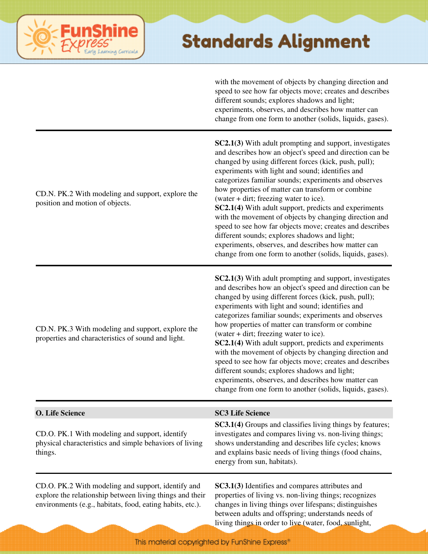# ning Carricula

#### **Standards Alignment**

with the movement of objects by changing direction and speed to see how far objects move; creates and describes different sounds; explores shadows and light; experiments, observes, and describes how matter can change from one form to another (solids, liquids, gases).

| CD.N. PK.2 With modeling and support, explore the<br>position and motion of objects.                                                                                        | SC2.1(3) With adult prompting and support, investigates<br>and describes how an object's speed and direction can be<br>changed by using different forces (kick, push, pull);<br>experiments with light and sound; identifies and<br>categorizes familiar sounds; experiments and observes<br>how properties of matter can transform or combine<br>(water + dirt; freezing water to ice).<br>SC2.1(4) With adult support, predicts and experiments<br>with the movement of objects by changing direction and<br>speed to see how far objects move; creates and describes<br>different sounds; explores shadows and light;<br>experiments, observes, and describes how matter can<br>change from one form to another (solids, liquids, gases). |
|-----------------------------------------------------------------------------------------------------------------------------------------------------------------------------|----------------------------------------------------------------------------------------------------------------------------------------------------------------------------------------------------------------------------------------------------------------------------------------------------------------------------------------------------------------------------------------------------------------------------------------------------------------------------------------------------------------------------------------------------------------------------------------------------------------------------------------------------------------------------------------------------------------------------------------------|
| CD.N. PK.3 With modeling and support, explore the<br>properties and characteristics of sound and light.                                                                     | SC2.1(3) With adult prompting and support, investigates<br>and describes how an object's speed and direction can be<br>changed by using different forces (kick, push, pull);<br>experiments with light and sound; identifies and<br>categorizes familiar sounds; experiments and observes<br>how properties of matter can transform or combine<br>(water + dirt; freezing water to ice).<br>SC2.1(4) With adult support, predicts and experiments<br>with the movement of objects by changing direction and<br>speed to see how far objects move; creates and describes<br>different sounds; explores shadows and light;<br>experiments, observes, and describes how matter can<br>change from one form to another (solids, liquids, gases). |
| O. Life Science                                                                                                                                                             | <b>SC3 Life Science</b>                                                                                                                                                                                                                                                                                                                                                                                                                                                                                                                                                                                                                                                                                                                      |
| CD.O. PK.1 With modeling and support, identify<br>physical characteristics and simple behaviors of living<br>things.                                                        | SC3.1(4) Groups and classifies living things by features;<br>investigates and compares living vs. non-living things;<br>shows understanding and describes life cycles; knows<br>and explains basic needs of living things (food chains,<br>energy from sun, habitats).                                                                                                                                                                                                                                                                                                                                                                                                                                                                       |
| CD.O. PK.2 With modeling and support, identify and<br>explore the relationship between living things and their<br>environments (e.g., habitats, food, eating habits, etc.). | SC3.1(3) Identifies and compares attributes and<br>properties of living vs. non-living things; recognizes<br>changes in living things over lifespans; distinguishes                                                                                                                                                                                                                                                                                                                                                                                                                                                                                                                                                                          |

between adults and offspring; understands needs of living things in order to live (water, food, sunlight,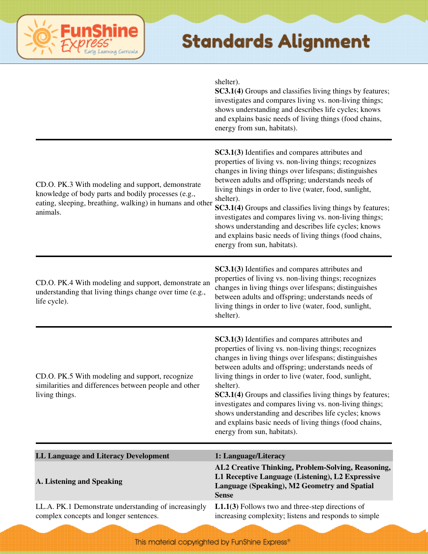

|                                                                                                                                                                                   | shelter).<br>SC3.1(4) Groups and classifies living things by features;<br>investigates and compares living vs. non-living things;<br>shows understanding and describes life cycles; knows<br>and explains basic needs of living things (food chains,<br>energy from sun, habitats).                                                                                                                                                                                                                                                                                        |
|-----------------------------------------------------------------------------------------------------------------------------------------------------------------------------------|----------------------------------------------------------------------------------------------------------------------------------------------------------------------------------------------------------------------------------------------------------------------------------------------------------------------------------------------------------------------------------------------------------------------------------------------------------------------------------------------------------------------------------------------------------------------------|
| CD.O. PK.3 With modeling and support, demonstrate<br>knowledge of body parts and bodily processes (e.g.,<br>eating, sleeping, breathing, walking) in humans and other<br>animals. | SC3.1(3) Identifies and compares attributes and<br>properties of living vs. non-living things; recognizes<br>changes in living things over lifespans; distinguishes<br>between adults and offspring; understands needs of<br>living things in order to live (water, food, sunlight,<br>shelter).<br>SC3.1(4) Groups and classifies living things by features;<br>investigates and compares living vs. non-living things;<br>shows understanding and describes life cycles; knows<br>and explains basic needs of living things (food chains,<br>energy from sun, habitats). |
| CD.O. PK.4 With modeling and support, demonstrate an<br>understanding that living things change over time (e.g.,<br>life cycle).                                                  | SC3.1(3) Identifies and compares attributes and<br>properties of living vs. non-living things; recognizes<br>changes in living things over lifespans; distinguishes<br>between adults and offspring; understands needs of<br>living things in order to live (water, food, sunlight,<br>shelter).                                                                                                                                                                                                                                                                           |
| CD.O. PK.5 With modeling and support, recognize<br>similarities and differences between people and other<br>living things.                                                        | SC3.1(3) Identifies and compares attributes and<br>properties of living vs. non-living things; recognizes<br>changes in living things over lifespans; distinguishes<br>between adults and offspring; understands needs of<br>living things in order to live (water, food, sunlight,<br>shelter).<br>SC3.1(4) Groups and classifies living things by features;<br>investigates and compares living vs. non-living things;<br>shows understanding and describes life cycles; knows<br>and explains basic needs of living things (food chains,<br>energy from sun, habitats). |
| LL Language and Literacy Development                                                                                                                                              | 1: Language/Literacy                                                                                                                                                                                                                                                                                                                                                                                                                                                                                                                                                       |
| A. Listening and Speaking                                                                                                                                                         | AL2 Creative Thinking, Problem-Solving, Reasoning,<br>L1 Receptive Language (Listening), L2 Expressive<br>Language (Speaking), M2 Geometry and Spatial<br><b>Sense</b>                                                                                                                                                                                                                                                                                                                                                                                                     |
| LL.A. PK.1 Demonstrate understanding of increasingly<br>complex concepts and longer sentences.                                                                                    | $L1.1(3)$ Follows two and three-step directions of<br>increasing complexity; listens and responds to simple                                                                                                                                                                                                                                                                                                                                                                                                                                                                |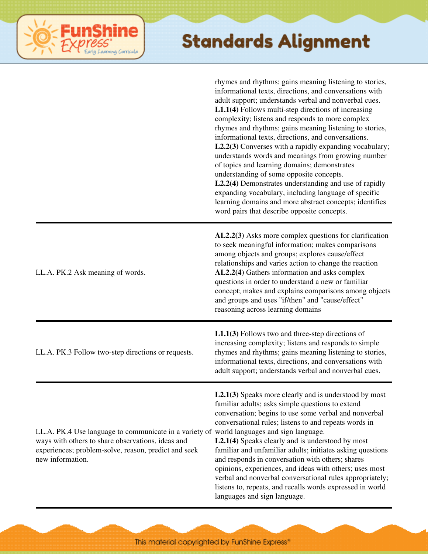|                                                                                                                                                                                                                            | rhymes and rhythms; gains meaning listening to stories,<br>informational texts, directions, and conversations with<br>adult support; understands verbal and nonverbal cues.<br>$L1.1(4)$ Follows multi-step directions of increasing<br>complexity; listens and responds to more complex<br>rhymes and rhythms; gains meaning listening to stories,<br>informational texts, directions, and conversations.<br>L2.2(3) Converses with a rapidly expanding vocabulary;<br>understands words and meanings from growing number<br>of topics and learning domains; demonstrates<br>understanding of some opposite concepts.<br>L2.2(4) Demonstrates understanding and use of rapidly<br>expanding vocabulary, including language of specific<br>learning domains and more abstract concepts; identifies<br>word pairs that describe opposite concepts. |
|----------------------------------------------------------------------------------------------------------------------------------------------------------------------------------------------------------------------------|---------------------------------------------------------------------------------------------------------------------------------------------------------------------------------------------------------------------------------------------------------------------------------------------------------------------------------------------------------------------------------------------------------------------------------------------------------------------------------------------------------------------------------------------------------------------------------------------------------------------------------------------------------------------------------------------------------------------------------------------------------------------------------------------------------------------------------------------------|
| LL.A. PK.2 Ask meaning of words.                                                                                                                                                                                           | AL2.2(3) Asks more complex questions for clarification<br>to seek meaningful information; makes comparisons<br>among objects and groups; explores cause/effect<br>relationships and varies action to change the reaction<br>AL2.2(4) Gathers information and asks complex<br>questions in order to understand a new or familiar<br>concept; makes and explains comparisons among objects<br>and groups and uses "if/then" and "cause/effect"<br>reasoning across learning domains                                                                                                                                                                                                                                                                                                                                                                 |
| LL.A. PK.3 Follow two-step directions or requests.                                                                                                                                                                         | $L1.1(3)$ Follows two and three-step directions of<br>increasing complexity; listens and responds to simple<br>rhymes and rhythms; gains meaning listening to stories,<br>informational texts, directions, and conversations with<br>adult support; understands verbal and nonverbal cues.                                                                                                                                                                                                                                                                                                                                                                                                                                                                                                                                                        |
| LL.A. PK.4 Use language to communicate in a variety of world languages and sign language.<br>ways with others to share observations, ideas and<br>experiences; problem-solve, reason, predict and seek<br>new information. | $L2.1(3)$ Speaks more clearly and is understood by most<br>familiar adults; asks simple questions to extend<br>conversation; begins to use some verbal and nonverbal<br>conversational rules; listens to and repeats words in<br>L2.1(4) Speaks clearly and is understood by most<br>familiar and unfamiliar adults; initiates asking questions<br>and responds in conversation with others; shares<br>opinions, experiences, and ideas with others; uses most<br>verbal and nonverbal conversational rules appropriately;<br>listens to, repeats, and recalls words expressed in world<br>languages and sign language.                                                                                                                                                                                                                           |

**FunShine** 

Early Learning Curricula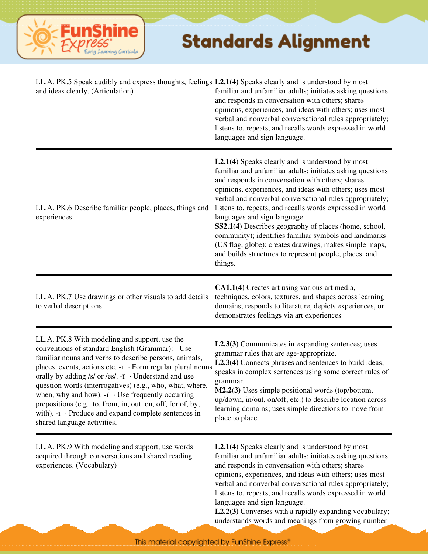

| LL.A. PK.5 Speak audibly and express thoughts, feelings L2.1(4) Speaks clearly and is understood by most<br>and ideas clearly. (Articulation)                                                                                                                                                                                                                                                                                                                                                                                                                                  | familiar and unfamiliar adults; initiates asking questions<br>and responds in conversation with others; shares<br>opinions, experiences, and ideas with others; uses most<br>verbal and nonverbal conversational rules appropriately;<br>listens to, repeats, and recalls words expressed in world<br>languages and sign language.                                                                                                                                                                                                                                                                                                             |
|--------------------------------------------------------------------------------------------------------------------------------------------------------------------------------------------------------------------------------------------------------------------------------------------------------------------------------------------------------------------------------------------------------------------------------------------------------------------------------------------------------------------------------------------------------------------------------|------------------------------------------------------------------------------------------------------------------------------------------------------------------------------------------------------------------------------------------------------------------------------------------------------------------------------------------------------------------------------------------------------------------------------------------------------------------------------------------------------------------------------------------------------------------------------------------------------------------------------------------------|
| LL.A. PK.6 Describe familiar people, places, things and<br>experiences.                                                                                                                                                                                                                                                                                                                                                                                                                                                                                                        | <b>L2.1(4)</b> Speaks clearly and is understood by most<br>familiar and unfamiliar adults; initiates asking questions<br>and responds in conversation with others; shares<br>opinions, experiences, and ideas with others; uses most<br>verbal and nonverbal conversational rules appropriately;<br>listens to, repeats, and recalls words expressed in world<br>languages and sign language.<br>SS2.1(4) Describes geography of places (home, school,<br>community); identifies familiar symbols and landmarks<br>(US flag, globe); creates drawings, makes simple maps,<br>and builds structures to represent people, places, and<br>things. |
| LL.A. PK.7 Use drawings or other visuals to add details<br>to verbal descriptions.                                                                                                                                                                                                                                                                                                                                                                                                                                                                                             | CA1.1(4) Creates art using various art media,<br>techniques, colors, textures, and shapes across learning<br>domains; responds to literature, depicts experiences, or<br>demonstrates feelings via art experiences                                                                                                                                                                                                                                                                                                                                                                                                                             |
| LL.A. PK.8 With modeling and support, use the<br>conventions of standard English (Grammar): - Use<br>familiar nouns and verbs to describe persons, animals,<br>places, events, actions etc. -i · Form regular plural nouns<br>orally by adding /s/ or /es/. - $\mathrm{i}$ · Understand and use<br>question words (interrogatives) (e.g., who, what, where,<br>when, why and how). $-i$ $\cdot$ Use frequently occurring<br>prepositions (e.g., to, from, in, out, on, off, for of, by,<br>with). $-i$ Produce and expand complete sentences in<br>shared language activities. | L2.3(3) Communicates in expanding sentences; uses<br>grammar rules that are age-appropriate.<br>L2.3(4) Connects phrases and sentences to build ideas;<br>speaks in complex sentences using some correct rules of<br>grammar.<br>M2.2(3) Uses simple positional words (top/bottom,<br>up/down, in/out, on/off, etc.) to describe location across<br>learning domains; uses simple directions to move from<br>place to place.                                                                                                                                                                                                                   |
| LL.A. PK.9 With modeling and support, use words<br>acquired through conversations and shared reading<br>experiences. (Vocabulary)                                                                                                                                                                                                                                                                                                                                                                                                                                              | <b>L2.1(4)</b> Speaks clearly and is understood by most<br>familiar and unfamiliar adults; initiates asking questions<br>and responds in conversation with others; shares<br>opinions, experiences, and ideas with others; uses most<br>verbal and nonverbal conversational rules appropriately;<br>listens to, repeats, and recalls words expressed in world<br>languages and sign language.<br>L2.2(3) Converses with a rapidly expanding vocabulary;<br>understands words and meanings from growing number                                                                                                                                  |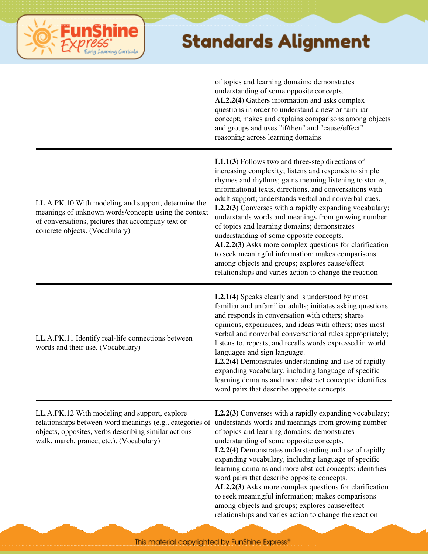

of topics and learning domains; demonstrates understanding of some opposite concepts. **AL2.2(4)** Gathers information and asks complex questions in order to understand a new or familiar concept; makes and explains comparisons among objects and groups and uses "if/then" and "cause/effect" reasoning across learning domains

| LL.A.PK.10 With modeling and support, determine the<br>meanings of unknown words/concepts using the context<br>of conversations, pictures that accompany text or<br>concrete objects. (Vocabulary) | $L1.1(3)$ Follows two and three-step directions of<br>increasing complexity; listens and responds to simple<br>rhymes and rhythms; gains meaning listening to stories,<br>informational texts, directions, and conversations with<br>adult support; understands verbal and nonverbal cues.<br>L2.2(3) Converses with a rapidly expanding vocabulary;<br>understands words and meanings from growing number<br>of topics and learning domains; demonstrates<br>understanding of some opposite concepts.<br>AL2.2(3) Asks more complex questions for clarification<br>to seek meaningful information; makes comparisons<br>among objects and groups; explores cause/effect<br>relationships and varies action to change the reaction |
|----------------------------------------------------------------------------------------------------------------------------------------------------------------------------------------------------|------------------------------------------------------------------------------------------------------------------------------------------------------------------------------------------------------------------------------------------------------------------------------------------------------------------------------------------------------------------------------------------------------------------------------------------------------------------------------------------------------------------------------------------------------------------------------------------------------------------------------------------------------------------------------------------------------------------------------------|
| LL.A.PK.11 Identify real-life connections between<br>words and their use. (Vocabulary)                                                                                                             | L2.1(4) Speaks clearly and is understood by most<br>familiar and unfamiliar adults; initiates asking questions<br>and responds in conversation with others; shares<br>opinions, experiences, and ideas with others; uses most<br>verbal and nonverbal conversational rules appropriately;<br>listens to, repeats, and recalls words expressed in world<br>languages and sign language.<br>L2.2(4) Demonstrates understanding and use of rapidly<br>expanding vocabulary, including language of specific<br>learning domains and more abstract concepts; identifies<br>word pairs that describe opposite concepts.                                                                                                                  |
| LL.A.PK.12 With modeling and support, explore<br>objects, opposites, verbs describing similar actions -<br>walk, march, prance, etc.). (Vocabulary)                                                | L2.2(3) Converses with a rapidly expanding vocabulary;<br>relationships between word meanings (e.g., categories of understands words and meanings from growing number<br>of topics and learning domains; demonstrates<br>understanding of some opposite concepts.<br>L2.2(4) Demonstrates understanding and use of rapidly<br>expanding vocabulary, including language of specific<br>learning domains and more abstract concepts; identifies<br>word pairs that describe opposite concepts.<br>AL2.2(3) Asks more complex questions for clarification<br>to seek meaningful information; makes comparisons<br>among objects and groups; explores cause/effect<br>relationships and varies action to change the reaction           |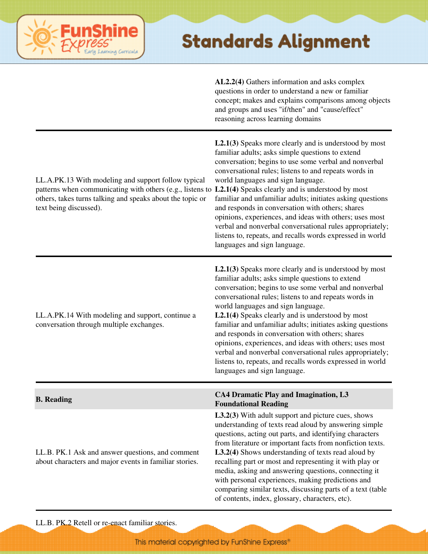

**AL2.2(4)** Gathers information and asks complex questions in order to understand a new or familiar concept; makes and explains comparisons among objects and groups and uses "if/then" and "cause/effect" reasoning across learning domains

| LL.A.PK.13 With modeling and support follow typical<br>patterns when communicating with others (e.g., listens to L2.1(4) Speaks clearly and is understood by most<br>others, takes turns talking and speaks about the topic or<br>text being discussed). | $L2.1(3)$ Speaks more clearly and is understood by most<br>familiar adults; asks simple questions to extend<br>conversation; begins to use some verbal and nonverbal<br>conversational rules; listens to and repeats words in<br>world languages and sign language.<br>familiar and unfamiliar adults; initiates asking questions<br>and responds in conversation with others; shares<br>opinions, experiences, and ideas with others; uses most<br>verbal and nonverbal conversational rules appropriately;<br>listens to, repeats, and recalls words expressed in world<br>languages and sign language.                                                     |
|----------------------------------------------------------------------------------------------------------------------------------------------------------------------------------------------------------------------------------------------------------|---------------------------------------------------------------------------------------------------------------------------------------------------------------------------------------------------------------------------------------------------------------------------------------------------------------------------------------------------------------------------------------------------------------------------------------------------------------------------------------------------------------------------------------------------------------------------------------------------------------------------------------------------------------|
| LL.A.PK.14 With modeling and support, continue a<br>conversation through multiple exchanges.                                                                                                                                                             | $L2.1(3)$ Speaks more clearly and is understood by most<br>familiar adults; asks simple questions to extend<br>conversation; begins to use some verbal and nonverbal<br>conversational rules; listens to and repeats words in<br>world languages and sign language.<br>L2.1(4) Speaks clearly and is understood by most<br>familiar and unfamiliar adults; initiates asking questions<br>and responds in conversation with others; shares<br>opinions, experiences, and ideas with others; uses most<br>verbal and nonverbal conversational rules appropriately;<br>listens to, repeats, and recalls words expressed in world<br>languages and sign language. |
| <b>B.</b> Reading                                                                                                                                                                                                                                        | CA4 Dramatic Play and Imagination, L3<br><b>Foundational Reading</b>                                                                                                                                                                                                                                                                                                                                                                                                                                                                                                                                                                                          |
| LL.B. PK.1 Ask and answer questions, and comment<br>about characters and major events in familiar stories.                                                                                                                                               | L3.2(3) With adult support and picture cues, shows<br>understanding of texts read aloud by answering simple<br>questions, acting out parts, and identifying characters<br>from literature or important facts from nonfiction texts.<br>L3.2(4) Shows understanding of texts read aloud by<br>recalling part or most and representing it with play or<br>media, asking and answering questions, connecting it<br>with personal experiences, making predictions and<br>comparing similar texts, discussing parts of a text (table<br>of contents, index, glossary, characters, etc).                                                                            |

LL.B. PK.2 Retell or re-enact familiar stories.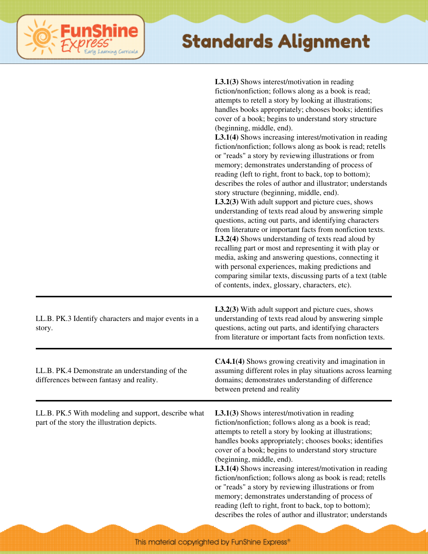|                                                                                                    | <b>L3.1(3)</b> Shows interest/motivation in reading<br>fiction/nonfiction; follows along as a book is read;<br>attempts to retell a story by looking at illustrations;<br>handles books appropriately; chooses books; identifies<br>cover of a book; begins to understand story structure<br>(beginning, middle, end).<br>L3.1(4) Shows increasing interest/motivation in reading<br>fiction/nonfiction; follows along as book is read; retells<br>or "reads" a story by reviewing illustrations or from<br>memory; demonstrates understanding of process of<br>reading (left to right, front to back, top to bottom);<br>describes the roles of author and illustrator; understands<br>story structure (beginning, middle, end).<br>L3.2(3) With adult support and picture cues, shows<br>understanding of texts read aloud by answering simple<br>questions, acting out parts, and identifying characters<br>from literature or important facts from nonfiction texts.<br>L3.2(4) Shows understanding of texts read aloud by<br>recalling part or most and representing it with play or<br>media, asking and answering questions, connecting it<br>with personal experiences, making predictions and<br>comparing similar texts, discussing parts of a text (table<br>of contents, index, glossary, characters, etc). |
|----------------------------------------------------------------------------------------------------|-------------------------------------------------------------------------------------------------------------------------------------------------------------------------------------------------------------------------------------------------------------------------------------------------------------------------------------------------------------------------------------------------------------------------------------------------------------------------------------------------------------------------------------------------------------------------------------------------------------------------------------------------------------------------------------------------------------------------------------------------------------------------------------------------------------------------------------------------------------------------------------------------------------------------------------------------------------------------------------------------------------------------------------------------------------------------------------------------------------------------------------------------------------------------------------------------------------------------------------------------------------------------------------------------------------------------|
| LL.B. PK.3 Identify characters and major events in a<br>story.                                     | <b>L3.2(3)</b> With adult support and picture cues, shows<br>understanding of texts read aloud by answering simple<br>questions, acting out parts, and identifying characters<br>from literature or important facts from nonfiction texts.                                                                                                                                                                                                                                                                                                                                                                                                                                                                                                                                                                                                                                                                                                                                                                                                                                                                                                                                                                                                                                                                              |
| LL.B. PK.4 Demonstrate an understanding of the<br>differences between fantasy and reality.         | CA4.1(4) Shows growing creativity and imagination in<br>assuming different roles in play situations across learning<br>domains; demonstrates understanding of difference<br>between pretend and reality                                                                                                                                                                                                                                                                                                                                                                                                                                                                                                                                                                                                                                                                                                                                                                                                                                                                                                                                                                                                                                                                                                                 |
| LL.B. PK.5 With modeling and support, describe what<br>part of the story the illustration depicts. | <b>L3.1(3)</b> Shows interest/motivation in reading<br>fiction/nonfiction; follows along as a book is read;<br>attempts to retell a story by looking at illustrations;<br>handles books appropriately; chooses books; identifies<br>cover of a book; begins to understand story structure<br>(beginning, middle, end).<br>L3.1(4) Shows increasing interest/motivation in reading<br>fiction/nonfiction; follows along as book is read; retells<br>or "reads" a story by reviewing illustrations or from<br>memory; demonstrates understanding of process of<br>reading (left to right, front to back, top to bottom);<br>describes the roles of author and illustrator; understands                                                                                                                                                                                                                                                                                                                                                                                                                                                                                                                                                                                                                                    |

**FunShine** 

Learning Curricula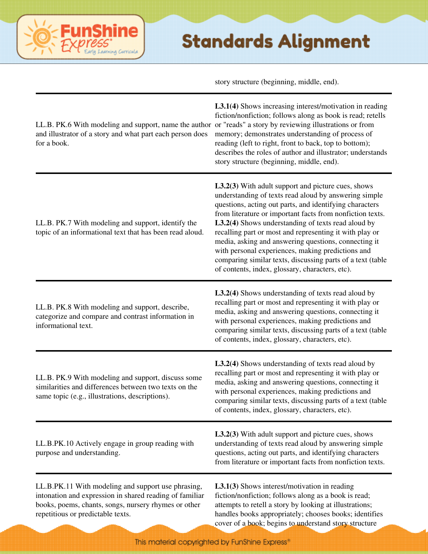story structure (beginning, middle, end).

| LL.B. PK.6 With modeling and support, name the author or "reads" a story by reviewing illustrations or from<br>and illustrator of a story and what part each person does<br>for a book. | L3.1(4) Shows increasing interest/motivation in reading<br>fiction/nonfiction; follows along as book is read; retells<br>memory; demonstrates understanding of process of<br>reading (left to right, front to back, top to bottom);<br>describes the roles of author and illustrator; understands<br>story structure (beginning, middle, end).                                                                                                                                                                                                                                            |
|-----------------------------------------------------------------------------------------------------------------------------------------------------------------------------------------|-------------------------------------------------------------------------------------------------------------------------------------------------------------------------------------------------------------------------------------------------------------------------------------------------------------------------------------------------------------------------------------------------------------------------------------------------------------------------------------------------------------------------------------------------------------------------------------------|
| LL.B. PK.7 With modeling and support, identify the<br>topic of an informational text that has been read aloud.                                                                          | <b>L3.2(3)</b> With adult support and picture cues, shows<br>understanding of texts read aloud by answering simple<br>questions, acting out parts, and identifying characters<br>from literature or important facts from nonfiction texts.<br>L3.2(4) Shows understanding of texts read aloud by<br>recalling part or most and representing it with play or<br>media, asking and answering questions, connecting it<br>with personal experiences, making predictions and<br>comparing similar texts, discussing parts of a text (table<br>of contents, index, glossary, characters, etc). |
| LL.B. PK.8 With modeling and support, describe,<br>categorize and compare and contrast information in<br>informational text.                                                            | <b>L3.2(4)</b> Shows understanding of texts read aloud by<br>recalling part or most and representing it with play or<br>media, asking and answering questions, connecting it<br>with personal experiences, making predictions and<br>comparing similar texts, discussing parts of a text (table<br>of contents, index, glossary, characters, etc).                                                                                                                                                                                                                                        |
| LL.B. PK.9 With modeling and support, discuss some<br>similarities and differences between two texts on the<br>same topic (e.g., illustrations, descriptions).                          | <b>L3.2(4)</b> Shows understanding of texts read aloud by<br>recalling part or most and representing it with play or<br>media, asking and answering questions, connecting it<br>with personal experiences, making predictions and<br>comparing similar texts, discussing parts of a text (table<br>of contents, index, glossary, characters, etc).                                                                                                                                                                                                                                        |
| LL.B.PK.10 Actively engage in group reading with<br>purpose and understanding.                                                                                                          | <b>L3.2(3)</b> With adult support and picture cues, shows<br>understanding of texts read aloud by answering simple<br>questions, acting out parts, and identifying characters<br>from literature or important facts from nonfiction texts.                                                                                                                                                                                                                                                                                                                                                |
| LL.B.PK.11 With modeling and support use phrasing,<br>intonation and expression in shared reading of familiar<br>books, poems, chants, songs, nursery rhymes or other                   | L3.1(3) Shows interest/motivation in reading<br>fiction/nonfiction; follows along as a book is read;<br>attempts to retell a story by looking at illustrations;                                                                                                                                                                                                                                                                                                                                                                                                                           |

handles books appropriately; chooses books; identifies cover of a book; begins to understand story structure

repetitious or predictable texts.

ine

erning Carricula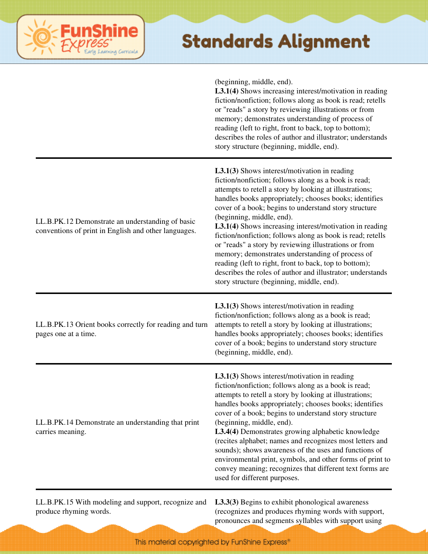# ining Curricula

#### **Standards Alignment**

(beginning, middle, end).

**L3.1(4)** Shows increasing interest/motivation in reading fiction/nonfiction; follows along as book is read; retells or "reads" a story by reviewing illustrations or from memory; demonstrates understanding of process of reading (left to right, front to back, top to bottom); describes the roles of author and illustrator; understands story structure (beginning, middle, end).

| LL.B.PK.12 Demonstrate an understanding of basic<br>conventions of print in English and other languages. | L3.1(3) Shows interest/motivation in reading<br>fiction/nonfiction; follows along as a book is read;<br>attempts to retell a story by looking at illustrations;<br>handles books appropriately; chooses books; identifies<br>cover of a book; begins to understand story structure<br>(beginning, middle, end).<br>L3.1(4) Shows increasing interest/motivation in reading<br>fiction/nonfiction; follows along as book is read; retells<br>or "reads" a story by reviewing illustrations or from<br>memory; demonstrates understanding of process of<br>reading (left to right, front to back, top to bottom);<br>describes the roles of author and illustrator; understands<br>story structure (beginning, middle, end). |
|----------------------------------------------------------------------------------------------------------|----------------------------------------------------------------------------------------------------------------------------------------------------------------------------------------------------------------------------------------------------------------------------------------------------------------------------------------------------------------------------------------------------------------------------------------------------------------------------------------------------------------------------------------------------------------------------------------------------------------------------------------------------------------------------------------------------------------------------|
| LL.B.PK.13 Orient books correctly for reading and turn<br>pages one at a time.                           | $L3.1(3)$ Shows interest/motivation in reading<br>fiction/nonfiction; follows along as a book is read;<br>attempts to retell a story by looking at illustrations;<br>handles books appropriately; chooses books; identifies<br>cover of a book; begins to understand story structure<br>(beginning, middle, end).                                                                                                                                                                                                                                                                                                                                                                                                          |
| LL.B.PK.14 Demonstrate an understanding that print<br>carries meaning.                                   | $L3.1(3)$ Shows interest/motivation in reading<br>fiction/nonfiction; follows along as a book is read;<br>attempts to retell a story by looking at illustrations;<br>handles books appropriately; chooses books; identifies<br>cover of a book; begins to understand story structure<br>(beginning, middle, end).<br>L3.4(4) Demonstrates growing alphabetic knowledge<br>(recites alphabet; names and recognizes most letters and<br>sounds); shows awareness of the uses and functions of<br>environmental print, symbols, and other forms of print to<br>convey meaning; recognizes that different text forms are<br>used for different purposes.                                                                       |
| LL.B.PK.15 With modeling and support, recognize and                                                      | L3.3(3) Begins to exhibit phonological awareness                                                                                                                                                                                                                                                                                                                                                                                                                                                                                                                                                                                                                                                                           |

produce rhyming words.

(recognizes and produces rhyming words with support, pronounces and segments syllables with support using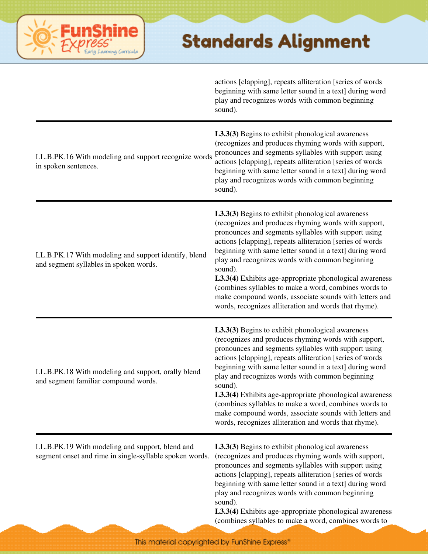|                                                                                                            | actions [clapping], repeats alliteration [series of words<br>beginning with same letter sound in a text] during word<br>play and recognizes words with common beginning<br>sound).                                                                                                                                                                                                                                                                                                                                                                                                            |
|------------------------------------------------------------------------------------------------------------|-----------------------------------------------------------------------------------------------------------------------------------------------------------------------------------------------------------------------------------------------------------------------------------------------------------------------------------------------------------------------------------------------------------------------------------------------------------------------------------------------------------------------------------------------------------------------------------------------|
| LL.B.PK.16 With modeling and support recognize words<br>in spoken sentences.                               | L3.3(3) Begins to exhibit phonological awareness<br>(recognizes and produces rhyming words with support,<br>pronounces and segments syllables with support using<br>actions [clapping], repeats alliteration [series of words<br>beginning with same letter sound in a text] during word<br>play and recognizes words with common beginning<br>sound).                                                                                                                                                                                                                                        |
| LL.B.PK.17 With modeling and support identify, blend<br>and segment syllables in spoken words.             | L3.3(3) Begins to exhibit phonological awareness<br>(recognizes and produces rhyming words with support,<br>pronounces and segments syllables with support using<br>actions [clapping], repeats alliteration [series of words<br>beginning with same letter sound in a text] during word<br>play and recognizes words with common beginning<br>sound).<br>L3.3(4) Exhibits age-appropriate phonological awareness<br>(combines syllables to make a word, combines words to<br>make compound words, associate sounds with letters and<br>words, recognizes alliteration and words that rhyme). |
| LL.B.PK.18 With modeling and support, orally blend<br>and segment familiar compound words.                 | L3.3(3) Begins to exhibit phonological awareness<br>(recognizes and produces rhyming words with support,<br>pronounces and segments syllables with support using<br>actions [clapping], repeats alliteration [series of words<br>beginning with same letter sound in a text] during word<br>play and recognizes words with common beginning<br>sound).<br>L3.3(4) Exhibits age-appropriate phonological awareness<br>(combines syllables to make a word, combines words to<br>make compound words, associate sounds with letters and<br>words, recognizes alliteration and words that rhyme). |
| LL.B.PK.19 With modeling and support, blend and<br>segment onset and rime in single-syllable spoken words. | L3.3(3) Begins to exhibit phonological awareness<br>(recognizes and produces rhyming words with support,<br>pronounces and segments syllables with support using<br>actions [clapping], repeats alliteration [series of words<br>beginning with same letter sound in a text] during word<br>play and recognizes words with common beginning<br>sound).<br>L3.3(4) Exhibits age-appropriate phonological awareness<br>(combines syllables to make a word, combines words to                                                                                                                    |

**FunShine** 

Learning Curricula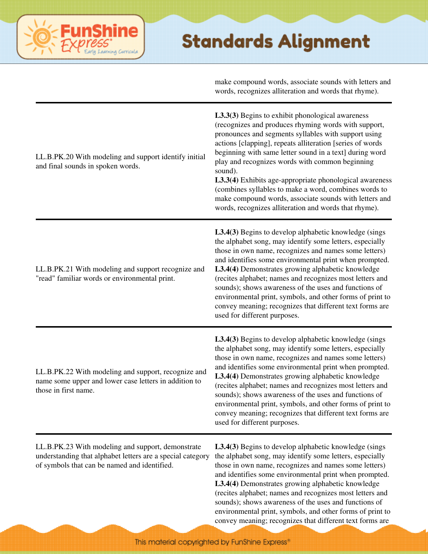|                                                                                                                                                                 | make compound words, associate sounds with letters and<br>words, recognizes alliteration and words that rhyme).                                                                                                                                                                                                                                                                                                                                                                                                                                                                               |
|-----------------------------------------------------------------------------------------------------------------------------------------------------------------|-----------------------------------------------------------------------------------------------------------------------------------------------------------------------------------------------------------------------------------------------------------------------------------------------------------------------------------------------------------------------------------------------------------------------------------------------------------------------------------------------------------------------------------------------------------------------------------------------|
| LL.B.PK.20 With modeling and support identify initial<br>and final sounds in spoken words.                                                                      | L3.3(3) Begins to exhibit phonological awareness<br>(recognizes and produces rhyming words with support,<br>pronounces and segments syllables with support using<br>actions [clapping], repeats alliteration [series of words<br>beginning with same letter sound in a text] during word<br>play and recognizes words with common beginning<br>sound).<br>L3.3(4) Exhibits age-appropriate phonological awareness<br>(combines syllables to make a word, combines words to<br>make compound words, associate sounds with letters and<br>words, recognizes alliteration and words that rhyme). |
| LL.B.PK.21 With modeling and support recognize and<br>"read" familiar words or environmental print.                                                             | L3.4(3) Begins to develop alphabetic knowledge (sings<br>the alphabet song, may identify some letters, especially<br>those in own name, recognizes and names some letters)<br>and identifies some environmental print when prompted.<br>L3.4(4) Demonstrates growing alphabetic knowledge<br>(recites alphabet; names and recognizes most letters and<br>sounds); shows awareness of the uses and functions of<br>environmental print, symbols, and other forms of print to<br>convey meaning; recognizes that different text forms are<br>used for different purposes.                       |
| LL.B.PK.22 With modeling and support, recognize and<br>name some upper and lower case letters in addition to<br>those in first name.                            | L3.4(3) Begins to develop alphabetic knowledge (sings<br>the alphabet song, may identify some letters, especially<br>those in own name, recognizes and names some letters)<br>and identifies some environmental print when prompted.<br>L3.4(4) Demonstrates growing alphabetic knowledge<br>(recites alphabet; names and recognizes most letters and<br>sounds); shows awareness of the uses and functions of<br>environmental print, symbols, and other forms of print to<br>convey meaning; recognizes that different text forms are<br>used for different purposes.                       |
| LL.B.PK.23 With modeling and support, demonstrate<br>understanding that alphabet letters are a special category<br>of symbols that can be named and identified. | <b>L3.4(3)</b> Begins to develop alphabetic knowledge (sings<br>the alphabet song, may identify some letters, especially<br>those in own name, recognizes and names some letters)<br>and identifies some environmental print when prompted.<br>L3.4(4) Demonstrates growing alphabetic knowledge<br>(recites alphabet; names and recognizes most letters and<br>sounds); shows awareness of the uses and functions of<br>environmental print, symbols, and other forms of print to<br>convey meaning; recognizes that different text forms are                                                |

ine

sarning Corricula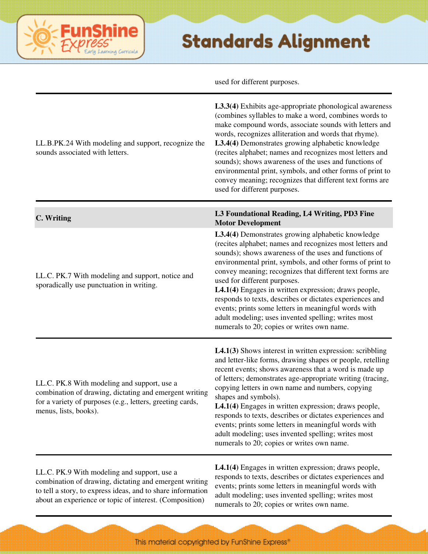used for different purposes.

| LL.B.PK.24 With modeling and support, recognize the<br>sounds associated with letters.                                                                                                                                          | L3.3(4) Exhibits age-appropriate phonological awareness<br>(combines syllables to make a word, combines words to<br>make compound words, associate sounds with letters and<br>words, recognizes alliteration and words that rhyme).<br>L3.4(4) Demonstrates growing alphabetic knowledge<br>(recites alphabet; names and recognizes most letters and<br>sounds); shows awareness of the uses and functions of<br>environmental print, symbols, and other forms of print to<br>convey meaning; recognizes that different text forms are<br>used for different purposes.                                           |
|---------------------------------------------------------------------------------------------------------------------------------------------------------------------------------------------------------------------------------|------------------------------------------------------------------------------------------------------------------------------------------------------------------------------------------------------------------------------------------------------------------------------------------------------------------------------------------------------------------------------------------------------------------------------------------------------------------------------------------------------------------------------------------------------------------------------------------------------------------|
| C. Writing                                                                                                                                                                                                                      | L3 Foundational Reading, L4 Writing, PD3 Fine<br><b>Motor Development</b>                                                                                                                                                                                                                                                                                                                                                                                                                                                                                                                                        |
| LL.C. PK.7 With modeling and support, notice and<br>sporadically use punctuation in writing.                                                                                                                                    | L3.4(4) Demonstrates growing alphabetic knowledge<br>(recites alphabet; names and recognizes most letters and<br>sounds); shows awareness of the uses and functions of<br>environmental print, symbols, and other forms of print to<br>convey meaning; recognizes that different text forms are<br>used for different purposes.<br>L4.1(4) Engages in written expression; draws people,<br>responds to texts, describes or dictates experiences and<br>events; prints some letters in meaningful words with<br>adult modeling; uses invented spelling; writes most<br>numerals to 20; copies or writes own name. |
| LL.C. PK.8 With modeling and support, use a<br>combination of drawing, dictating and emergent writing<br>for a variety of purposes (e.g., letters, greeting cards,<br>menus, lists, books).                                     | $L4.1(3)$ Shows interest in written expression: scribbling<br>and letter-like forms, drawing shapes or people, retelling<br>recent events; shows awareness that a word is made up<br>of letters; demonstrates age-appropriate writing (tracing,<br>copying letters in own name and numbers, copying<br>shapes and symbols).<br>L4.1(4) Engages in written expression; draws people,<br>responds to texts, describes or dictates experiences and<br>events; prints some letters in meaningful words with<br>adult modeling; uses invented spelling; writes most<br>numerals to 20; copies or writes own name.     |
| LL.C. PK.9 With modeling and support, use a<br>combination of drawing, dictating and emergent writing<br>to tell a story, to express ideas, and to share information<br>about an experience or topic of interest. (Composition) | L4.1(4) Engages in written expression; draws people,<br>responds to texts, describes or dictates experiences and<br>events; prints some letters in meaningful words with<br>adult modeling; uses invented spelling; writes most<br>numerals to 20; copies or writes own name.                                                                                                                                                                                                                                                                                                                                    |

FunShine

Learning Corricula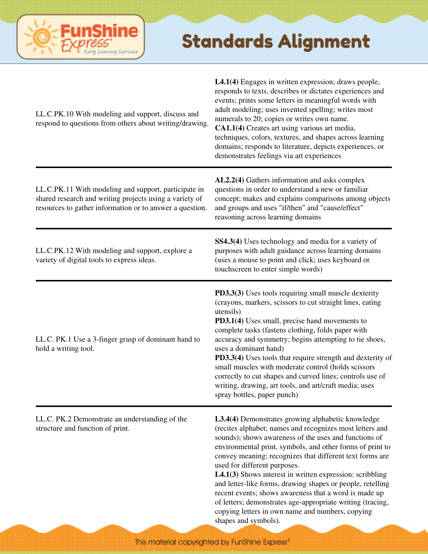

L4.1(4) Engages in written expression; draws people,

| LL.C.PK.10 With modeling and support, discuss and<br>respond to questions from others about writing/drawing.                                                                | responds to texts, describes or dictates experiences and<br>events; prints some letters in meaningful words with<br>adult modeling; uses invented spelling; writes most<br>numerals to 20; copies or writes own name.<br>CA1.1(4) Creates art using various art media,<br>techniques, colors, textures, and shapes across learning<br>domains; responds to literature, depicts experiences, or<br>demonstrates feelings via art experiences                                                                                                                                                                                                                  |
|-----------------------------------------------------------------------------------------------------------------------------------------------------------------------------|--------------------------------------------------------------------------------------------------------------------------------------------------------------------------------------------------------------------------------------------------------------------------------------------------------------------------------------------------------------------------------------------------------------------------------------------------------------------------------------------------------------------------------------------------------------------------------------------------------------------------------------------------------------|
| LL.C.PK.11 With modeling and support, participate in<br>shared research and writing projects using a variety of<br>resources to gather information or to answer a question. | AL2.2(4) Gathers information and asks complex<br>questions in order to understand a new or familiar<br>concept; makes and explains comparisons among objects<br>and groups and uses "if/then" and "cause/effect"<br>reasoning across learning domains                                                                                                                                                                                                                                                                                                                                                                                                        |
| LL.C.PK.12 With modeling and support, explore a<br>variety of digital tools to express ideas.                                                                               | SS4.3(4) Uses technology and media for a variety of<br>purposes with adult guidance across learning domains<br>(uses a mouse to point and click; uses keyboard or<br>touchscreen to enter simple words)                                                                                                                                                                                                                                                                                                                                                                                                                                                      |
| LL.C. PK.1 Use a 3-finger grasp of dominant hand to<br>hold a writing tool.                                                                                                 | PD3.3(3) Uses tools requiring small muscle dexterity<br>(crayons, markers, scissors to cut straight lines, eating<br>utensils)<br>PD3.1(4) Uses small, precise hand movements to<br>complete tasks (fastens clothing, folds paper with<br>accuracy and symmetry; begins attempting to tie shoes,<br>uses a dominant hand)<br><b>PD3.3(4)</b> Uses tools that require strength and dexterity of<br>small muscles with moderate control (holds scissors<br>correctly to cut shapes and curved lines; controls use of<br>writing, drawing, art tools, and art/craft media; uses<br>spray bottles, paper punch)                                                  |
| LL.C. PK.2 Demonstrate an understanding of the<br>structure and function of print.                                                                                          | L3.4(4) Demonstrates growing alphabetic knowledge<br>(recites alphabet; names and recognizes most letters and<br>sounds); shows awareness of the uses and functions of<br>environmental print, symbols, and other forms of print to<br>convey meaning; recognizes that different text forms are<br>used for different purposes.<br>L4.1(3) Shows interest in written expression: scribbling<br>and letter-like forms, drawing shapes or people, retelling<br>recent events; shows awareness that a word is made up<br>of letters; demonstrates age-appropriate writing (tracing,<br>copying letters in own name and numbers, copying<br>shapes and symbols). |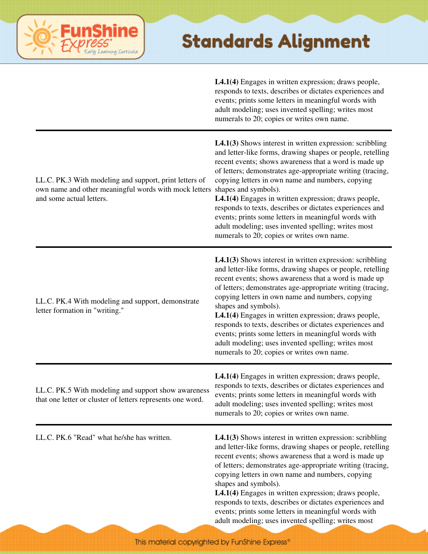

**L4.1(4)** Engages in written expression; draws people, responds to texts, describes or dictates experiences and events; prints some letters in meaningful words with adult modeling; uses invented spelling; writes most numerals to 20; copies or writes own name.

| LL.C. PK.3 With modeling and support, print letters of<br>own name and other meaningful words with mock letters<br>and some actual letters. | $L4.1(3)$ Shows interest in written expression: scribbling<br>and letter-like forms, drawing shapes or people, retelling<br>recent events; shows awareness that a word is made up<br>of letters; demonstrates age-appropriate writing (tracing,<br>copying letters in own name and numbers, copying<br>shapes and symbols).<br>L4.1(4) Engages in written expression; draws people,<br>responds to texts, describes or dictates experiences and<br>events; prints some letters in meaningful words with<br>adult modeling; uses invented spelling; writes most<br>numerals to 20; copies or writes own name.      |
|---------------------------------------------------------------------------------------------------------------------------------------------|-------------------------------------------------------------------------------------------------------------------------------------------------------------------------------------------------------------------------------------------------------------------------------------------------------------------------------------------------------------------------------------------------------------------------------------------------------------------------------------------------------------------------------------------------------------------------------------------------------------------|
| LL.C. PK.4 With modeling and support, demonstrate<br>letter formation in "writing."                                                         | <b>L4.1(3)</b> Shows interest in written expression: scribbling<br>and letter-like forms, drawing shapes or people, retelling<br>recent events; shows awareness that a word is made up<br>of letters; demonstrates age-appropriate writing (tracing,<br>copying letters in own name and numbers, copying<br>shapes and symbols).<br>L4.1(4) Engages in written expression; draws people,<br>responds to texts, describes or dictates experiences and<br>events; prints some letters in meaningful words with<br>adult modeling; uses invented spelling; writes most<br>numerals to 20; copies or writes own name. |
| LL.C. PK.5 With modeling and support show awareness<br>that one letter or cluster of letters represents one word.                           | <b>L4.1(4)</b> Engages in written expression; draws people,<br>responds to texts, describes or dictates experiences and<br>events; prints some letters in meaningful words with<br>adult modeling; uses invented spelling; writes most<br>numerals to 20; copies or writes own name.                                                                                                                                                                                                                                                                                                                              |
| LL.C. PK.6 "Read" what he/she has written.                                                                                                  | $L4.1(3)$ Shows interest in written expression: scribbling<br>and letter-like forms, drawing shapes or people, retelling<br>recent events; shows awareness that a word is made up<br>of letters; demonstrates age-appropriate writing (tracing,<br>copying letters in own name and numbers, copying<br>shapes and symbols).<br>L4.1(4) Engages in written expression; draws people,<br>responds to texts, describes or dictates experiences and<br>events; prints some letters in meaningful words with<br>adult modeling; uses invented spelling; writes most                                                    |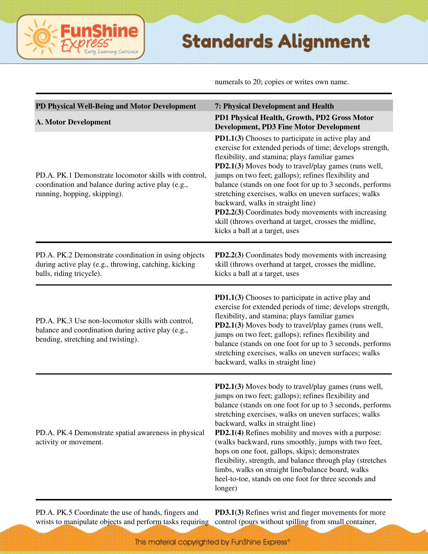#### ine irning Curricula

#### **Standards Alignment**

numerals to 20; copies or writes own name.

| PD Physical Well-Being and Motor Development                                                                                                  | 7: Physical Development and Health                                                                                                                                                                                                                                                                                                                                                                                                                                                                                                                                                                                                |
|-----------------------------------------------------------------------------------------------------------------------------------------------|-----------------------------------------------------------------------------------------------------------------------------------------------------------------------------------------------------------------------------------------------------------------------------------------------------------------------------------------------------------------------------------------------------------------------------------------------------------------------------------------------------------------------------------------------------------------------------------------------------------------------------------|
| <b>A. Motor Development</b>                                                                                                                   | PD1 Physical Health, Growth, PD2 Gross Motor<br><b>Development, PD3 Fine Motor Development</b>                                                                                                                                                                                                                                                                                                                                                                                                                                                                                                                                    |
| PD.A. PK.1 Demonstrate locomotor skills with control,<br>coordination and balance during active play (e.g.,<br>running, hopping, skipping).   | PD1.1(3) Chooses to participate in active play and<br>exercise for extended periods of time; develops strength,<br>flexibility, and stamina; plays familiar games<br>PD2.1(3) Moves body to travel/play games (runs well,<br>jumps on two feet; gallops); refines flexibility and<br>balance (stands on one foot for up to 3 seconds, performs<br>stretching exercises, walks on uneven surfaces; walks<br>backward, walks in straight line)<br>PD2.2(3) Coordinates body movements with increasing<br>skill (throws overhand at target, crosses the midline,<br>kicks a ball at a target, uses                                   |
| PD.A. PK.2 Demonstrate coordination in using objects<br>during active play (e.g., throwing, catching, kicking<br>balls, riding tricycle).     | PD2.2(3) Coordinates body movements with increasing<br>skill (throws overhand at target, crosses the midline,<br>kicks a ball at a target, uses                                                                                                                                                                                                                                                                                                                                                                                                                                                                                   |
| PD.A. PK.3 Use non-locomotor skills with control,<br>balance and coordination during active play (e.g.,<br>bending, stretching and twisting). | PD1.1(3) Chooses to participate in active play and<br>exercise for extended periods of time; develops strength,<br>flexibility, and stamina; plays familiar games<br>PD2.1(3) Moves body to travel/play games (runs well,<br>jumps on two feet; gallops); refines flexibility and<br>balance (stands on one foot for up to 3 seconds, performs<br>stretching exercises, walks on uneven surfaces; walks<br>backward, walks in straight line)                                                                                                                                                                                      |
| PD.A. PK.4 Demonstrate spatial awareness in physical<br>activity or movement.                                                                 | PD2.1(3) Moves body to travel/play games (runs well,<br>jumps on two feet; gallops); refines flexibility and<br>balance (stands on one foot for up to 3 seconds, performs<br>stretching exercises, walks on uneven surfaces; walks<br>backward, walks in straight line)<br>PD2.1(4) Refines mobility and moves with a purpose:<br>(walks backward, runs smoothly, jumps with two feet,<br>hops on one foot, gallops, skips); demonstrates<br>flexibility, strength, and balance through play (stretches<br>limbs, walks on straight line/balance board, walks<br>heel-to-toe, stands on one foot for three seconds and<br>longer) |

PD.A. PK.5 Coordinate the use of hands, fingers and wrists to manipulate objects and perform tasks requiring control (pours without spilling from small container,

**PD3.1(3)** Refines wrist and finger movements for more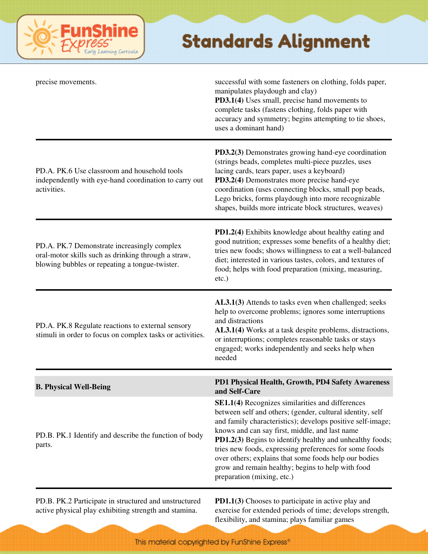

| precise movements.                                                                                                                                   | successful with some fasteners on clothing, folds paper,<br>manipulates playdough and clay)<br>PD3.1(4) Uses small, precise hand movements to<br>complete tasks (fastens clothing, folds paper with<br>accuracy and symmetry; begins attempting to tie shoes,<br>uses a dominant hand)                                                                                                                                                                                                          |
|------------------------------------------------------------------------------------------------------------------------------------------------------|-------------------------------------------------------------------------------------------------------------------------------------------------------------------------------------------------------------------------------------------------------------------------------------------------------------------------------------------------------------------------------------------------------------------------------------------------------------------------------------------------|
| PD.A. PK.6 Use classroom and household tools<br>independently with eye-hand coordination to carry out<br>activities.                                 | <b>PD3.2(3)</b> Demonstrates growing hand-eye coordination<br>(strings beads, completes multi-piece puzzles, uses<br>lacing cards, tears paper, uses a keyboard)<br>PD3.2(4) Demonstrates more precise hand-eye<br>coordination (uses connecting blocks, small pop beads,<br>Lego bricks, forms playdough into more recognizable<br>shapes, builds more intricate block structures, weaves)                                                                                                     |
| PD.A. PK.7 Demonstrate increasingly complex<br>oral-motor skills such as drinking through a straw,<br>blowing bubbles or repeating a tongue-twister. | PD1.2(4) Exhibits knowledge about healthy eating and<br>good nutrition; expresses some benefits of a healthy diet;<br>tries new foods; shows willingness to eat a well-balanced<br>diet; interested in various tastes, colors, and textures of<br>food; helps with food preparation (mixing, measuring,<br>$etc.$ )                                                                                                                                                                             |
| PD.A. PK.8 Regulate reactions to external sensory<br>stimuli in order to focus on complex tasks or activities.                                       | AL3.1(3) Attends to tasks even when challenged; seeks<br>help to overcome problems; ignores some interruptions<br>and distractions<br>AL3.1(4) Works at a task despite problems, distractions,<br>or interruptions; completes reasonable tasks or stays<br>engaged; works independently and seeks help when<br>needed                                                                                                                                                                           |
| <b>B. Physical Well-Being</b>                                                                                                                        | PD1 Physical Health, Growth, PD4 Safety Awareness<br>and Self-Care                                                                                                                                                                                                                                                                                                                                                                                                                              |
| PD.B. PK.1 Identify and describe the function of body<br>parts.                                                                                      | SE1.1(4) Recognizes similarities and differences<br>between self and others; (gender, cultural identity, self<br>and family characteristics); develops positive self-image;<br>knows and can say first, middle, and last name<br>PD1.2(3) Begins to identify healthy and unhealthy foods;<br>tries new foods, expressing preferences for some foods<br>over others; explains that some foods help our bodies<br>grow and remain healthy; begins to help with food<br>preparation (mixing, etc.) |
| PD.B. PK.2 Participate in structured and unstructured                                                                                                | <b>PD1.1(3)</b> Chooses to participate in active play and                                                                                                                                                                                                                                                                                                                                                                                                                                       |

active physical play exhibiting strength and stamina.

exercise for extended periods of time; develops strength, flexibility, and stamina; plays familiar games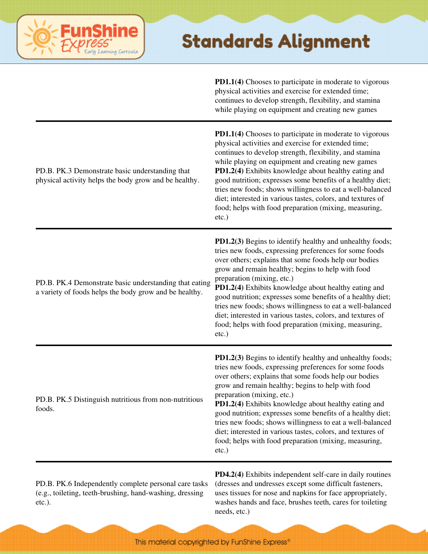**PD1.1(4)** Chooses to participate in moderate to vigorous physical activities and exercise for extended time; continues to develop strength, flexibility, and stamina while playing on equipment and creating new games

| PD.B. PK.3 Demonstrate basic understanding that<br>physical activity helps the body grow and be healthy.         | PD1.1(4) Chooses to participate in moderate to vigorous<br>physical activities and exercise for extended time;<br>continues to develop strength, flexibility, and stamina<br>while playing on equipment and creating new games<br>PD1.2(4) Exhibits knowledge about healthy eating and<br>good nutrition; expresses some benefits of a healthy diet;<br>tries new foods; shows willingness to eat a well-balanced<br>diet; interested in various tastes, colors, and textures of<br>food; helps with food preparation (mixing, measuring,<br>$etc.$ )                                        |
|------------------------------------------------------------------------------------------------------------------|----------------------------------------------------------------------------------------------------------------------------------------------------------------------------------------------------------------------------------------------------------------------------------------------------------------------------------------------------------------------------------------------------------------------------------------------------------------------------------------------------------------------------------------------------------------------------------------------|
| PD.B. PK.4 Demonstrate basic understanding that eating<br>a variety of foods helps the body grow and be healthy. | PD1.2(3) Begins to identify healthy and unhealthy foods;<br>tries new foods, expressing preferences for some foods<br>over others; explains that some foods help our bodies<br>grow and remain healthy; begins to help with food<br>preparation (mixing, etc.)<br>PD1.2(4) Exhibits knowledge about healthy eating and<br>good nutrition; expresses some benefits of a healthy diet;<br>tries new foods; shows willingness to eat a well-balanced<br>diet; interested in various tastes, colors, and textures of<br>food; helps with food preparation (mixing, measuring,<br>etc.)           |
| PD.B. PK.5 Distinguish nutritious from non-nutritious<br>foods.                                                  | <b>PD1.2(3)</b> Begins to identify healthy and unhealthy foods;<br>tries new foods, expressing preferences for some foods<br>over others; explains that some foods help our bodies<br>grow and remain healthy; begins to help with food<br>preparation (mixing, etc.)<br>PD1.2(4) Exhibits knowledge about healthy eating and<br>good nutrition; expresses some benefits of a healthy diet;<br>tries new foods; shows willingness to eat a well-balanced<br>diet; interested in various tastes, colors, and textures of<br>food; helps with food preparation (mixing, measuring,<br>$etc.$ ) |
|                                                                                                                  | PD4.2(4) Exhibits independent self-care in daily routines                                                                                                                                                                                                                                                                                                                                                                                                                                                                                                                                    |

PD.B. PK.6 Independently complete personal care tasks (e.g., toileting, teeth-brushing, hand-washing, dressing etc.).

ming Curricula

(dresses and undresses except some difficult fasteners, uses tissues for nose and napkins for face appropriately, washes hands and face, brushes teeth, cares for toileting needs, etc.)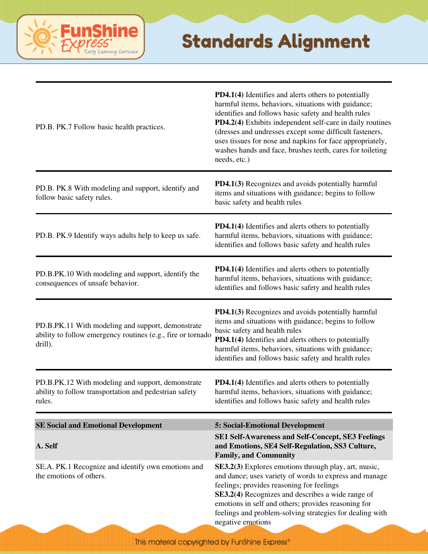

| PD.B. PK.7 Follow basic health practices.                                                                                   | <b>PD4.1(4)</b> Identifies and alerts others to potentially<br>harmful items, behaviors, situations with guidance;<br>identifies and follows basic safety and health rules<br>PD4.2(4) Exhibits independent self-care in daily routines<br>(dresses and undresses except some difficult fasteners,<br>uses tissues for nose and napkins for face appropriately,<br>washes hands and face, brushes teeth, cares for toileting<br>needs, etc.) |
|-----------------------------------------------------------------------------------------------------------------------------|----------------------------------------------------------------------------------------------------------------------------------------------------------------------------------------------------------------------------------------------------------------------------------------------------------------------------------------------------------------------------------------------------------------------------------------------|
| PD.B. PK.8 With modeling and support, identify and<br>follow basic safety rules.                                            | PD4.1(3) Recognizes and avoids potentially harmful<br>items and situations with guidance; begins to follow<br>basic safety and health rules                                                                                                                                                                                                                                                                                                  |
| PD.B. PK.9 Identify ways adults help to keep us safe.                                                                       | <b>PD4.1(4)</b> Identifies and alerts others to potentially<br>harmful items, behaviors, situations with guidance;<br>identifies and follows basic safety and health rules                                                                                                                                                                                                                                                                   |
| PD.B.PK.10 With modeling and support, identify the<br>consequences of unsafe behavior.                                      | <b>PD4.1(4)</b> Identifies and alerts others to potentially<br>harmful items, behaviors, situations with guidance;<br>identifies and follows basic safety and health rules                                                                                                                                                                                                                                                                   |
| PD.B.PK.11 With modeling and support, demonstrate<br>ability to follow emergency routines (e.g., fire or tornado<br>drill). | PD4.1(3) Recognizes and avoids potentially harmful<br>items and situations with guidance; begins to follow<br>basic safety and health rules<br>PD4.1(4) Identifies and alerts others to potentially<br>harmful items, behaviors, situations with guidance;<br>identifies and follows basic safety and health rules                                                                                                                           |
| PD.B.PK.12 With modeling and support, demonstrate<br>ability to follow transportation and pedestrian safety<br>rules.       | <b>PD4.1(4)</b> Identifies and alerts others to potentially<br>harmful items, behaviors, situations with guidance;<br>identifies and follows basic safety and health rules                                                                                                                                                                                                                                                                   |
| <b>SE Social and Emotional Development</b>                                                                                  | 5: Social-Emotional Development                                                                                                                                                                                                                                                                                                                                                                                                              |
| A. Self                                                                                                                     | <b>SE1 Self-Awareness and Self-Concept, SE3 Feelings</b><br>and Emotions, SE4 Self-Regulation, SS3 Culture,<br><b>Family, and Community</b>                                                                                                                                                                                                                                                                                                  |
| SE.A. PK.1 Recognize and identify own emotions and<br>the emotions of others.                                               | SE3.2(3) Explores emotions through play, art, music,<br>and dance; uses variety of words to express and manage<br>feelings; provides reasoning for feelings<br>SE3.2(4) Recognizes and describes a wide range of<br>emotions in self and others; provides reasoning for<br>feelings and problem-solving strategies for dealing with<br>negative emotions                                                                                     |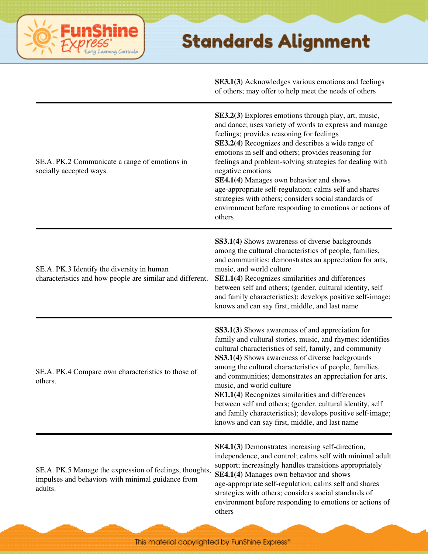#### ine Fun saming Curricula

|                                                                                                                         | <b>SE3.1(3)</b> Acknowledges various emotions and feelings<br>of others; may offer to help meet the needs of others                                                                                                                                                                                                                                                                                                                                                                                                                                                                                                    |
|-------------------------------------------------------------------------------------------------------------------------|------------------------------------------------------------------------------------------------------------------------------------------------------------------------------------------------------------------------------------------------------------------------------------------------------------------------------------------------------------------------------------------------------------------------------------------------------------------------------------------------------------------------------------------------------------------------------------------------------------------------|
| SE.A. PK.2 Communicate a range of emotions in<br>socially accepted ways.                                                | <b>SE3.2(3)</b> Explores emotions through play, art, music,<br>and dance; uses variety of words to express and manage<br>feelings; provides reasoning for feelings<br>SE3.2(4) Recognizes and describes a wide range of<br>emotions in self and others; provides reasoning for<br>feelings and problem-solving strategies for dealing with<br>negative emotions<br>SE4.1(4) Manages own behavior and shows<br>age-appropriate self-regulation; calms self and shares<br>strategies with others; considers social standards of<br>environment before responding to emotions or actions of<br>others                     |
| SE.A. PK.3 Identify the diversity in human<br>characteristics and how people are similar and different.                 | <b>SS3.1(4)</b> Shows awareness of diverse backgrounds<br>among the cultural characteristics of people, families,<br>and communities; demonstrates an appreciation for arts,<br>music, and world culture<br>SE1.1(4) Recognizes similarities and differences<br>between self and others; (gender, cultural identity, self<br>and family characteristics); develops positive self-image;<br>knows and can say first, middle, and last name                                                                                                                                                                              |
| SE.A. PK.4 Compare own characteristics to those of<br>others.                                                           | <b>SS3.1(3)</b> Shows awareness of and appreciation for<br>family and cultural stories, music, and rhymes; identifies<br>cultural characteristics of self, family, and community<br>SS3.1(4) Shows awareness of diverse backgrounds<br>among the cultural characteristics of people, families,<br>and communities; demonstrates an appreciation for arts,<br>music, and world culture<br>SE1.1(4) Recognizes similarities and differences<br>between self and others; (gender, cultural identity, self<br>and family characteristics); develops positive self-image;<br>knows and can say first, middle, and last name |
| SE.A. PK.5 Manage the expression of feelings, thoughts,<br>impulses and behaviors with minimal guidance from<br>adults. | <b>SE4.1(3)</b> Demonstrates increasing self-direction,<br>independence, and control; calms self with minimal adult<br>support; increasingly handles transitions appropriately<br>SE4.1(4) Manages own behavior and shows<br>age-appropriate self-regulation; calms self and shares<br>strategies with others; considers social standards of<br>environment before responding to emotions or actions of<br>others                                                                                                                                                                                                      |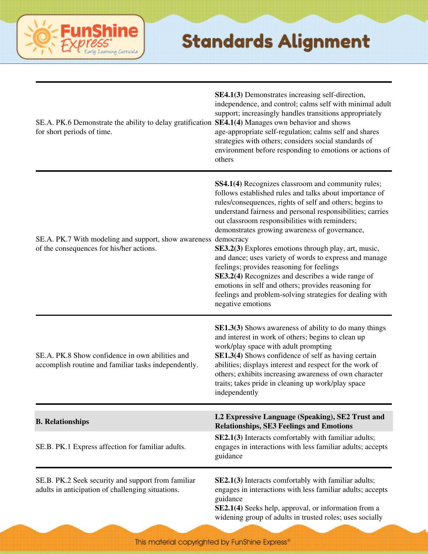

| SE.A. PK.6 Demonstrate the ability to delay gratification SE4.1(4) Manages own behavior and shows<br>for short periods of time. | <b>SE4.1(3)</b> Demonstrates increasing self-direction,<br>independence, and control; calms self with minimal adult<br>support; increasingly handles transitions appropriately<br>age-appropriate self-regulation; calms self and shares<br>strategies with others; considers social standards of<br>environment before responding to emotions or actions of<br>others                                                                                                                                                                                                                                                                                                                                 |
|---------------------------------------------------------------------------------------------------------------------------------|--------------------------------------------------------------------------------------------------------------------------------------------------------------------------------------------------------------------------------------------------------------------------------------------------------------------------------------------------------------------------------------------------------------------------------------------------------------------------------------------------------------------------------------------------------------------------------------------------------------------------------------------------------------------------------------------------------|
| SE.A. PK.7 With modeling and support, show awareness democracy<br>of the consequences for his/her actions.                      | SS4.1(4) Recognizes classroom and community rules;<br>follows established rules and talks about importance of<br>rules/consequences, rights of self and others; begins to<br>understand fairness and personal responsibilities; carries<br>out classroom responsibilities with reminders;<br>demonstrates growing awareness of governance,<br>SE3.2(3) Explores emotions through play, art, music,<br>and dance; uses variety of words to express and manage<br>feelings; provides reasoning for feelings<br>SE3.2(4) Recognizes and describes a wide range of<br>emotions in self and others; provides reasoning for<br>feelings and problem-solving strategies for dealing with<br>negative emotions |
| SE.A. PK.8 Show confidence in own abilities and<br>accomplish routine and familiar tasks independently.                         | <b>SE1.3(3)</b> Shows awareness of ability to do many things<br>and interest in work of others; begins to clean up<br>work/play space with adult prompting<br>SE1.3(4) Shows confidence of self as having certain<br>abilities; displays interest and respect for the work of<br>others; exhibits increasing awareness of own character<br>traits; takes pride in cleaning up work/play space<br>independently                                                                                                                                                                                                                                                                                         |
| <b>B.</b> Relationships                                                                                                         | L2 Expressive Language (Speaking), SE2 Trust and<br><b>Relationships, SE3 Feelings and Emotions</b>                                                                                                                                                                                                                                                                                                                                                                                                                                                                                                                                                                                                    |
| SE.B. PK.1 Express affection for familiar adults.                                                                               | SE2.1(3) Interacts comfortably with familiar adults;<br>engages in interactions with less familiar adults; accepts<br>guidance                                                                                                                                                                                                                                                                                                                                                                                                                                                                                                                                                                         |
| SE.B. PK.2 Seek security and support from familiar<br>adults in anticipation of challenging situations.                         | SE2.1(3) Interacts comfortably with familiar adults;<br>engages in interactions with less familiar adults; accepts<br>guidance<br>SE2.1(4) Seeks help, approval, or information from a<br>widening group of adults in trusted roles; uses socially                                                                                                                                                                                                                                                                                                                                                                                                                                                     |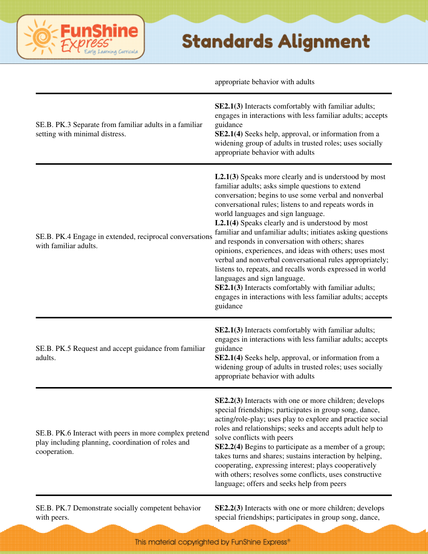|                                                                                                                              | appropriate behavior with adults                                                                                                                                                                                                                                                                                                                                                                                                                                                                                                                                                                                                                                                                                                                                                                |
|------------------------------------------------------------------------------------------------------------------------------|-------------------------------------------------------------------------------------------------------------------------------------------------------------------------------------------------------------------------------------------------------------------------------------------------------------------------------------------------------------------------------------------------------------------------------------------------------------------------------------------------------------------------------------------------------------------------------------------------------------------------------------------------------------------------------------------------------------------------------------------------------------------------------------------------|
| SE.B. PK.3 Separate from familiar adults in a familiar<br>setting with minimal distress.                                     | SE2.1(3) Interacts comfortably with familiar adults;<br>engages in interactions with less familiar adults; accepts<br>guidance<br>SE2.1(4) Seeks help, approval, or information from a<br>widening group of adults in trusted roles; uses socially<br>appropriate behavior with adults                                                                                                                                                                                                                                                                                                                                                                                                                                                                                                          |
| SE.B. PK.4 Engage in extended, reciprocal conversations<br>with familiar adults.                                             | $L2.1(3)$ Speaks more clearly and is understood by most<br>familiar adults; asks simple questions to extend<br>conversation; begins to use some verbal and nonverbal<br>conversational rules; listens to and repeats words in<br>world languages and sign language.<br>L2.1(4) Speaks clearly and is understood by most<br>familiar and unfamiliar adults; initiates asking questions<br>and responds in conversation with others; shares<br>opinions, experiences, and ideas with others; uses most<br>verbal and nonverbal conversational rules appropriately;<br>listens to, repeats, and recalls words expressed in world<br>languages and sign language.<br>SE2.1(3) Interacts comfortably with familiar adults;<br>engages in interactions with less familiar adults; accepts<br>guidance |
| SE.B. PK.5 Request and accept guidance from familiar<br>adults.                                                              | SE2.1(3) Interacts comfortably with familiar adults;<br>engages in interactions with less familiar adults; accepts<br>guidance<br><b>SE2.1(4)</b> Seeks help, approval, or information from a<br>widening group of adults in trusted roles; uses socially<br>appropriate behavior with adults                                                                                                                                                                                                                                                                                                                                                                                                                                                                                                   |
| SE.B. PK.6 Interact with peers in more complex pretend<br>play including planning, coordination of roles and<br>cooperation. | SE2.2(3) Interacts with one or more children; develops<br>special friendships; participates in group song, dance,<br>acting/role-play; uses play to explore and practice social<br>roles and relationships; seeks and accepts adult help to<br>solve conflicts with peers<br>SE2.2(4) Begins to participate as a member of a group;<br>takes turns and shares; sustains interaction by helping,<br>cooperating, expressing interest; plays cooperatively<br>with others; resolves some conflicts, uses constructive<br>language; offers and seeks help from peers                                                                                                                                                                                                                               |
| SE.B. PK.7 Demonstrate socially competent behavior                                                                           | <b>SE2.2(3)</b> Interacts with one or more children; develops                                                                                                                                                                                                                                                                                                                                                                                                                                                                                                                                                                                                                                                                                                                                   |

hine

erning Carricula

Fun

e

with peers.

special friendships; participates in group song, dance,